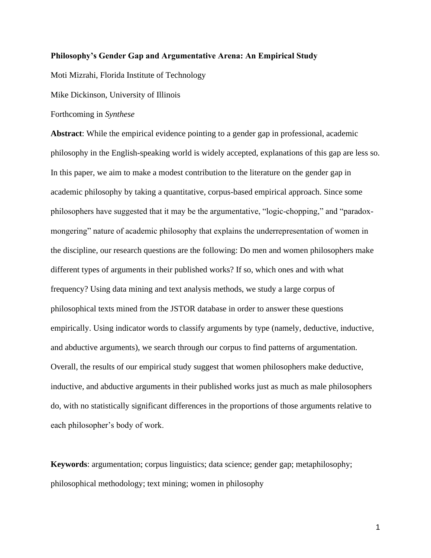## **Philosophy's Gender Gap and Argumentative Arena: An Empirical Study**

Moti Mizrahi, Florida Institute of Technology

Mike Dickinson, University of Illinois

## Forthcoming in *Synthese*

**Abstract**: While the empirical evidence pointing to a gender gap in professional, academic philosophy in the English-speaking world is widely accepted, explanations of this gap are less so. In this paper, we aim to make a modest contribution to the literature on the gender gap in academic philosophy by taking a quantitative, corpus-based empirical approach. Since some philosophers have suggested that it may be the argumentative, "logic-chopping," and "paradoxmongering" nature of academic philosophy that explains the underrepresentation of women in the discipline, our research questions are the following: Do men and women philosophers make different types of arguments in their published works? If so, which ones and with what frequency? Using data mining and text analysis methods, we study a large corpus of philosophical texts mined from the JSTOR database in order to answer these questions empirically. Using indicator words to classify arguments by type (namely, deductive, inductive, and abductive arguments), we search through our corpus to find patterns of argumentation. Overall, the results of our empirical study suggest that women philosophers make deductive, inductive, and abductive arguments in their published works just as much as male philosophers do, with no statistically significant differences in the proportions of those arguments relative to each philosopher's body of work.

**Keywords**: argumentation; corpus linguistics; data science; gender gap; metaphilosophy; philosophical methodology; text mining; women in philosophy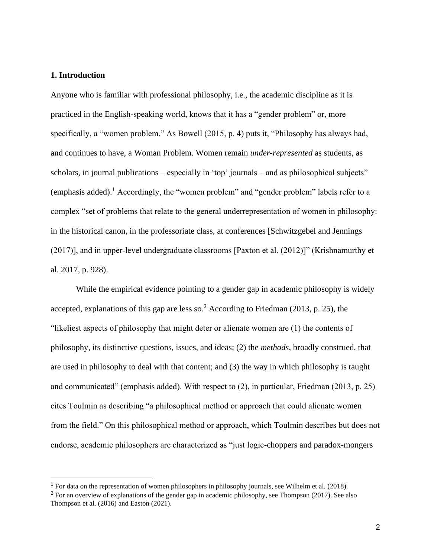## **1. Introduction**

Anyone who is familiar with professional philosophy, i.e., the academic discipline as it is practiced in the English-speaking world, knows that it has a "gender problem" or, more specifically, a "women problem." As Bowell (2015, p. 4) puts it, "Philosophy has always had, and continues to have, a Woman Problem. Women remain *under-represented* as students, as scholars, in journal publications – especially in 'top' journals – and as philosophical subjects" (emphasis added).<sup>1</sup> Accordingly, the "women problem" and "gender problem" labels refer to a complex "set of problems that relate to the general underrepresentation of women in philosophy: in the historical canon, in the professoriate class, at conferences [Schwitzgebel and Jennings (2017)], and in upper‐level undergraduate classrooms [Paxton et al. (2012)]" (Krishnamurthy et al. 2017, p. 928).

While the empirical evidence pointing to a gender gap in academic philosophy is widely accepted, explanations of this gap are less so.<sup>2</sup> According to Friedman (2013, p. 25), the "likeliest aspects of philosophy that might deter or alienate women are (1) the contents of philosophy, its distinctive questions, issues, and ideas; (2) the *methods*, broadly construed, that are used in philosophy to deal with that content; and (3) the way in which philosophy is taught and communicated" (emphasis added). With respect to (2), in particular, Friedman (2013, p. 25) cites Toulmin as describing "a philosophical method or approach that could alienate women from the field." On this philosophical method or approach, which Toulmin describes but does not endorse, academic philosophers are characterized as "just logic-choppers and paradox-mongers

 $<sup>1</sup>$  For data on the representation of women philosophers in philosophy journals, see Wilhelm et al. (2018).</sup>

<sup>&</sup>lt;sup>2</sup> For an overview of explanations of the gender gap in academic philosophy, see Thompson (2017). See also Thompson et al. (2016) and Easton (2021).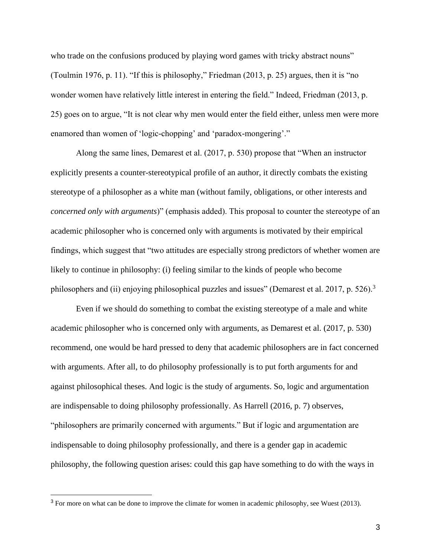who trade on the confusions produced by playing word games with tricky abstract nouns" (Toulmin 1976, p. 11). "If this is philosophy," Friedman (2013, p. 25) argues, then it is "no wonder women have relatively little interest in entering the field." Indeed, Friedman (2013, p. 25) goes on to argue, "It is not clear why men would enter the field either, unless men were more enamored than women of 'logic-chopping' and 'paradox-mongering'."

Along the same lines, Demarest et al. (2017, p. 530) propose that "When an instructor explicitly presents a counter-stereotypical profile of an author, it directly combats the existing stereotype of a philosopher as a white man (without family, obligations, or other interests and *concerned only with arguments*)" (emphasis added). This proposal to counter the stereotype of an academic philosopher who is concerned only with arguments is motivated by their empirical findings, which suggest that "two attitudes are especially strong predictors of whether women are likely to continue in philosophy: (i) feeling similar to the kinds of people who become philosophers and (ii) enjoying philosophical puzzles and issues" (Demarest et al. 2017, p. 526).<sup>3</sup>

Even if we should do something to combat the existing stereotype of a male and white academic philosopher who is concerned only with arguments, as Demarest et al. (2017, p. 530) recommend, one would be hard pressed to deny that academic philosophers are in fact concerned with arguments. After all, to do philosophy professionally is to put forth arguments for and against philosophical theses. And logic is the study of arguments. So, logic and argumentation are indispensable to doing philosophy professionally. As Harrell (2016, p. 7) observes, "philosophers are primarily concerned with arguments." But if logic and argumentation are indispensable to doing philosophy professionally, and there is a gender gap in academic philosophy, the following question arises: could this gap have something to do with the ways in

<sup>&</sup>lt;sup>3</sup> For more on what can be done to improve the climate for women in academic philosophy, see Wuest (2013).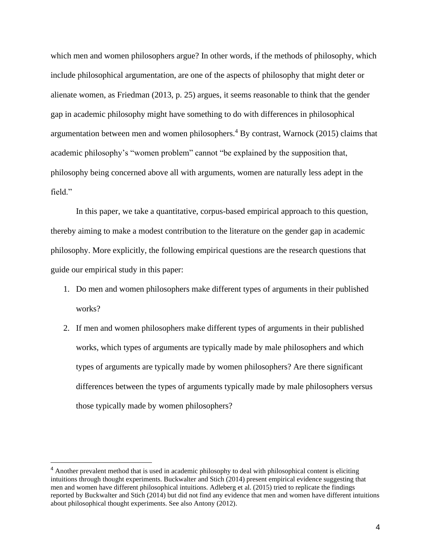which men and women philosophers argue? In other words, if the methods of philosophy, which include philosophical argumentation, are one of the aspects of philosophy that might deter or alienate women, as Friedman (2013, p. 25) argues, it seems reasonable to think that the gender gap in academic philosophy might have something to do with differences in philosophical argumentation between men and women philosophers.<sup>4</sup> By contrast, Warnock (2015) claims that academic philosophy's "women problem" cannot "be explained by the supposition that, philosophy being concerned above all with arguments, women are naturally less adept in the field."

In this paper, we take a quantitative, corpus-based empirical approach to this question, thereby aiming to make a modest contribution to the literature on the gender gap in academic philosophy. More explicitly, the following empirical questions are the research questions that guide our empirical study in this paper:

- 1. Do men and women philosophers make different types of arguments in their published works?
- 2. If men and women philosophers make different types of arguments in their published works, which types of arguments are typically made by male philosophers and which types of arguments are typically made by women philosophers? Are there significant differences between the types of arguments typically made by male philosophers versus those typically made by women philosophers?

<sup>4</sup> Another prevalent method that is used in academic philosophy to deal with philosophical content is eliciting intuitions through thought experiments. Buckwalter and Stich (2014) present empirical evidence suggesting that men and women have different philosophical intuitions. Adleberg et al. (2015) tried to replicate the findings reported by Buckwalter and Stich (2014) but did not find any evidence that men and women have different intuitions about philosophical thought experiments. See also Antony (2012).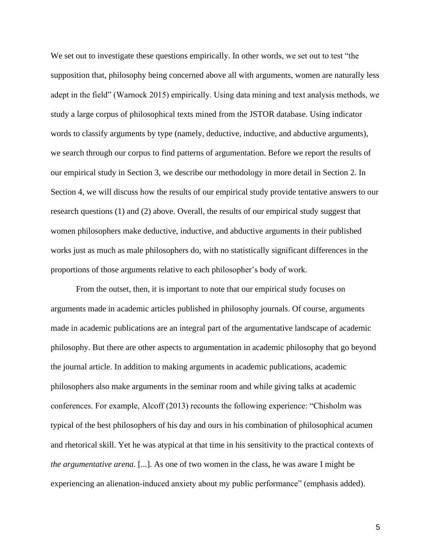We set out to investigate these questions empirically. In other words, we set out to test "the supposition that, philosophy being concerned above all with arguments, women are naturally less adept in the field" (Warnock 2015) empirically. Using data mining and text analysis methods, we study a large corpus of philosophical texts mined from the JSTOR database. Using indicator words to classify arguments by type (namely, deductive, inductive, and abductive arguments), we search through our corpus to find patterns of argumentation. Before we report the results of our empirical study in Section 3, we describe our methodology in more detail in Section 2. In Section 4, we will discuss how the results of our empirical study provide tentative answers to our research questions (1) and (2) above. Overall, the results of our empirical study suggest that women philosophers make deductive, inductive, and abductive arguments in their published works just as much as male philosophers do, with no statistically significant differences in the proportions of those arguments relative to each philosopher's body of work.

From the outset, then, it is important to note that our empirical study focuses on arguments made in academic articles published in philosophy journals. Of course, arguments made in academic publications are an integral part of the argumentative landscape of academic philosophy. But there are other aspects to argumentation in academic philosophy that go beyond the journal article. In addition to making arguments in academic publications, academic philosophers also make arguments in the seminar room and while giving talks at academic conferences. For example, Alcoff (2013) recounts the following experience: "Chisholm was typical of the best philosophers of his day and ours in his combination of philosophical acumen and rhetorical skill. Yet he was atypical at that time in his sensitivity to the practical contexts of *the argumentative arena*. [...]. As one of two women in the class, he was aware I might be experiencing an alienation-induced anxiety about my public performance" (emphasis added).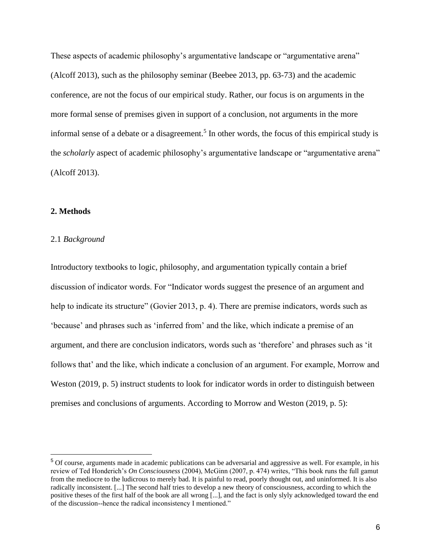These aspects of academic philosophy's argumentative landscape or "argumentative arena" (Alcoff 2013), such as the philosophy seminar (Beebee 2013, pp. 63-73) and the academic conference, are not the focus of our empirical study. Rather, our focus is on arguments in the more formal sense of premises given in support of a conclusion, not arguments in the more informal sense of a debate or a disagreement.<sup>5</sup> In other words, the focus of this empirical study is the *scholarly* aspect of academic philosophy's argumentative landscape or "argumentative arena" (Alcoff 2013).

## **2. Methods**

#### 2.1 *Background*

Introductory textbooks to logic, philosophy, and argumentation typically contain a brief discussion of indicator words. For "Indicator words suggest the presence of an argument and help to indicate its structure" (Govier 2013, p. 4). There are premise indicators, words such as 'because' and phrases such as 'inferred from' and the like, which indicate a premise of an argument, and there are conclusion indicators, words such as 'therefore' and phrases such as 'it follows that' and the like, which indicate a conclusion of an argument. For example, Morrow and Weston (2019, p. 5) instruct students to look for indicator words in order to distinguish between premises and conclusions of arguments. According to Morrow and Weston (2019, p. 5):

<sup>5</sup> Of course, arguments made in academic publications can be adversarial and aggressive as well. For example, in his review of Ted Honderich's *On Consciousness* (2004), McGinn (2007, p. 474) writes, "This book runs the full gamut from the mediocre to the ludicrous to merely bad. It is painful to read, poorly thought out, and uninformed. It is also radically inconsistent. [...] The second half tries to develop a new theory of consciousness, according to which the positive theses of the first half of the book are all wrong [...], and the fact is only slyly acknowledged toward the end of the discussion--hence the radical inconsistency I mentioned."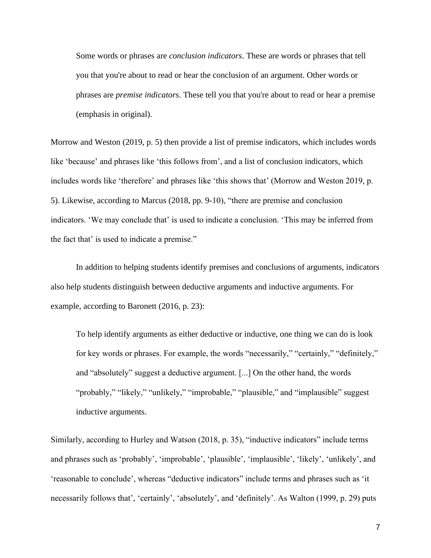Some words or phrases are *conclusion indicators*. These are words or phrases that tell you that you're about to read or hear the conclusion of an argument. Other words or phrases are *premise indicators*. These tell you that you're about to read or hear a premise (emphasis in original).

Morrow and Weston (2019, p. 5) then provide a list of premise indicators, which includes words like 'because' and phrases like 'this follows from', and a list of conclusion indicators, which includes words like 'therefore' and phrases like 'this shows that' (Morrow and Weston 2019, p. 5). Likewise, according to Marcus (2018, pp. 9-10), "there are premise and conclusion indicators. 'We may conclude that' is used to indicate a conclusion. 'This may be inferred from the fact that' is used to indicate a premise."

In addition to helping students identify premises and conclusions of arguments, indicators also help students distinguish between deductive arguments and inductive arguments. For example, according to Baronett (2016, p. 23):

To help identify arguments as either deductive or inductive, one thing we can do is look for key words or phrases. For example, the words "necessarily," "certainly," "definitely," and "absolutely" suggest a deductive argument. [...] On the other hand, the words "probably," "likely," "unlikely," "improbable," "plausible," and "implausible" suggest inductive arguments.

Similarly, according to Hurley and Watson (2018, p. 35), "inductive indicators" include terms and phrases such as 'probably', 'improbable', 'plausible', 'implausible', 'likely', 'unlikely', and 'reasonable to conclude', whereas "deductive indicators" include terms and phrases such as 'it necessarily follows that', 'certainly', 'absolutely', and 'definitely'. As Walton (1999, p. 29) puts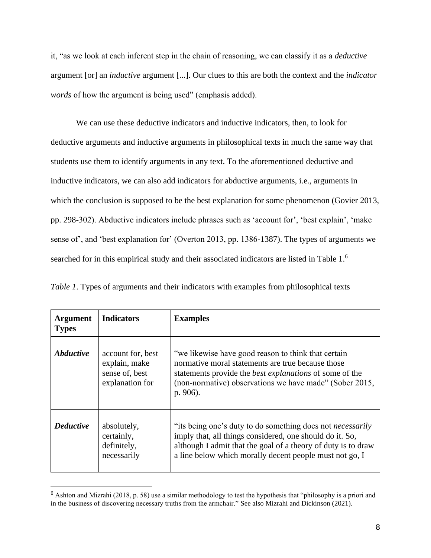it, "as we look at each inferent step in the chain of reasoning, we can classify it as a *deductive*  argument [or] an *inductive* argument [...]. Our clues to this are both the context and the *indicator words* of how the argument is being used" (emphasis added).

We can use these deductive indicators and inductive indicators, then, to look for deductive arguments and inductive arguments in philosophical texts in much the same way that students use them to identify arguments in any text. To the aforementioned deductive and inductive indicators, we can also add indicators for abductive arguments, i.e., arguments in which the conclusion is supposed to be the best explanation for some phenomenon (Govier 2013, pp. 298-302). Abductive indicators include phrases such as 'account for', 'best explain', 'make sense of', and 'best explanation for' (Overton 2013, pp. 1386-1387). The types of arguments we searched for in this empirical study and their associated indicators are listed in Table 1.<sup>6</sup>

| <b>Argument</b><br><b>Types</b> | <b>Indicators</b>                                                       | <b>Examples</b>                                                                                                                                                                                                                                           |
|---------------------------------|-------------------------------------------------------------------------|-----------------------------------------------------------------------------------------------------------------------------------------------------------------------------------------------------------------------------------------------------------|
| <b>Abductive</b>                | account for, best<br>explain, make<br>sense of, best<br>explanation for | "we likewise have good reason to think that certain<br>normative moral statements are true because those<br>statements provide the <i>best explanations</i> of some of the<br>(non-normative) observations we have made" (Sober 2015,<br>p. 906).         |
| <b>Deductive</b>                | absolutely,<br>certainly,<br>definitely,<br>necessarily                 | "its being one's duty to do something does not <i>necessarily</i><br>imply that, all things considered, one should do it. So,<br>although I admit that the goal of a theory of duty is to draw<br>a line below which morally decent people must not go, I |

*Table 1*. Types of arguments and their indicators with examples from philosophical texts

<sup>6</sup> Ashton and Mizrahi (2018, p. 58) use a similar methodology to test the hypothesis that "philosophy is a priori and in the business of discovering necessary truths from the armchair." See also Mizrahi and Dickinson (2021).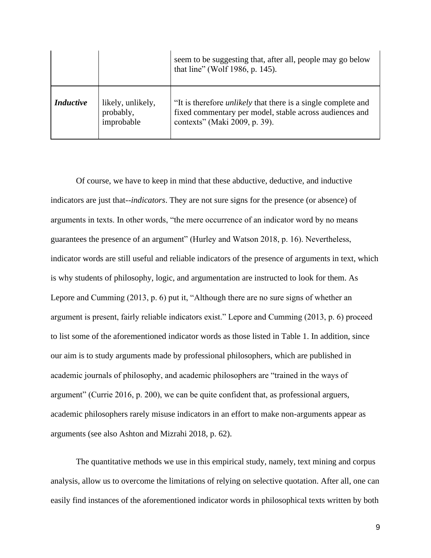|                  |                                              | seem to be suggesting that, after all, people may go below<br>that line" (Wolf 1986, p. 145).                                                                    |
|------------------|----------------------------------------------|------------------------------------------------------------------------------------------------------------------------------------------------------------------|
| <b>Inductive</b> | likely, unlikely,<br>probably,<br>improbable | "It is therefore <i>unlikely</i> that there is a single complete and<br>fixed commentary per model, stable across audiences and<br>contexts" (Maki 2009, p. 39). |

Of course, we have to keep in mind that these abductive, deductive, and inductive indicators are just that--*indicators*. They are not sure signs for the presence (or absence) of arguments in texts. In other words, "the mere occurrence of an indicator word by no means guarantees the presence of an argument" (Hurley and Watson 2018, p. 16). Nevertheless, indicator words are still useful and reliable indicators of the presence of arguments in text, which is why students of philosophy, logic, and argumentation are instructed to look for them. As Lepore and Cumming (2013, p. 6) put it, "Although there are no sure signs of whether an argument is present, fairly reliable indicators exist." Lepore and Cumming (2013, p. 6) proceed to list some of the aforementioned indicator words as those listed in Table 1. In addition, since our aim is to study arguments made by professional philosophers, which are published in academic journals of philosophy, and academic philosophers are "trained in the ways of argument" (Currie 2016, p. 200), we can be quite confident that, as professional arguers, academic philosophers rarely misuse indicators in an effort to make non-arguments appear as arguments (see also Ashton and Mizrahi 2018, p. 62).

The quantitative methods we use in this empirical study, namely, text mining and corpus analysis, allow us to overcome the limitations of relying on selective quotation. After all, one can easily find instances of the aforementioned indicator words in philosophical texts written by both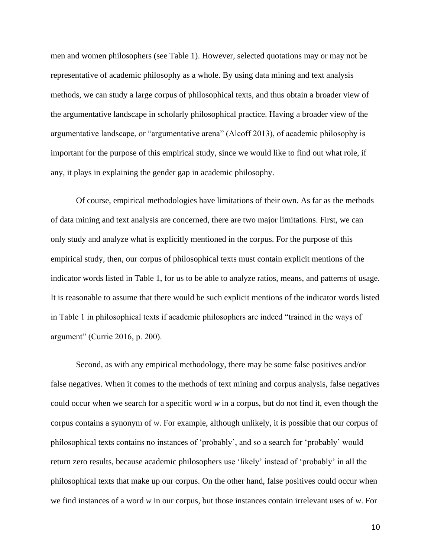men and women philosophers (see Table 1). However, selected quotations may or may not be representative of academic philosophy as a whole. By using data mining and text analysis methods, we can study a large corpus of philosophical texts, and thus obtain a broader view of the argumentative landscape in scholarly philosophical practice. Having a broader view of the argumentative landscape, or "argumentative arena" (Alcoff 2013), of academic philosophy is important for the purpose of this empirical study, since we would like to find out what role, if any, it plays in explaining the gender gap in academic philosophy.

Of course, empirical methodologies have limitations of their own. As far as the methods of data mining and text analysis are concerned, there are two major limitations. First, we can only study and analyze what is explicitly mentioned in the corpus. For the purpose of this empirical study, then, our corpus of philosophical texts must contain explicit mentions of the indicator words listed in Table 1, for us to be able to analyze ratios, means, and patterns of usage. It is reasonable to assume that there would be such explicit mentions of the indicator words listed in Table 1 in philosophical texts if academic philosophers are indeed "trained in the ways of argument" (Currie 2016, p. 200).

Second, as with any empirical methodology, there may be some false positives and/or false negatives. When it comes to the methods of text mining and corpus analysis, false negatives could occur when we search for a specific word *w* in a corpus, but do not find it, even though the corpus contains a synonym of *w*. For example, although unlikely, it is possible that our corpus of philosophical texts contains no instances of 'probably', and so a search for 'probably' would return zero results, because academic philosophers use 'likely' instead of 'probably' in all the philosophical texts that make up our corpus. On the other hand, false positives could occur when we find instances of a word *w* in our corpus, but those instances contain irrelevant uses of *w*. For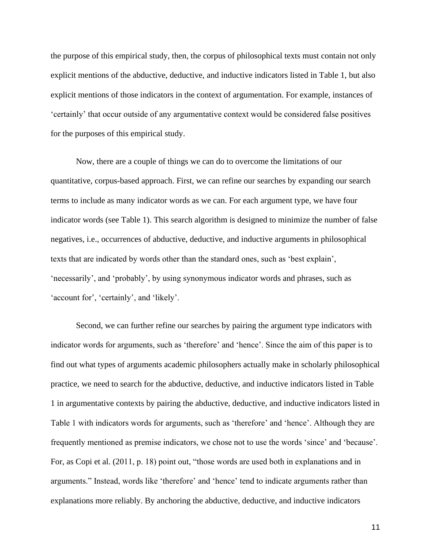the purpose of this empirical study, then, the corpus of philosophical texts must contain not only explicit mentions of the abductive, deductive, and inductive indicators listed in Table 1, but also explicit mentions of those indicators in the context of argumentation. For example, instances of 'certainly' that occur outside of any argumentative context would be considered false positives for the purposes of this empirical study.

Now, there are a couple of things we can do to overcome the limitations of our quantitative, corpus-based approach. First, we can refine our searches by expanding our search terms to include as many indicator words as we can. For each argument type, we have four indicator words (see Table 1). This search algorithm is designed to minimize the number of false negatives, i.e., occurrences of abductive, deductive, and inductive arguments in philosophical texts that are indicated by words other than the standard ones, such as 'best explain', 'necessarily', and 'probably', by using synonymous indicator words and phrases, such as 'account for', 'certainly', and 'likely'.

Second, we can further refine our searches by pairing the argument type indicators with indicator words for arguments, such as 'therefore' and 'hence'. Since the aim of this paper is to find out what types of arguments academic philosophers actually make in scholarly philosophical practice, we need to search for the abductive, deductive, and inductive indicators listed in Table 1 in argumentative contexts by pairing the abductive, deductive, and inductive indicators listed in Table 1 with indicators words for arguments, such as 'therefore' and 'hence'. Although they are frequently mentioned as premise indicators, we chose not to use the words 'since' and 'because'. For, as Copi et al. (2011, p. 18) point out, "those words are used both in explanations and in arguments." Instead, words like 'therefore' and 'hence' tend to indicate arguments rather than explanations more reliably. By anchoring the abductive, deductive, and inductive indicators

11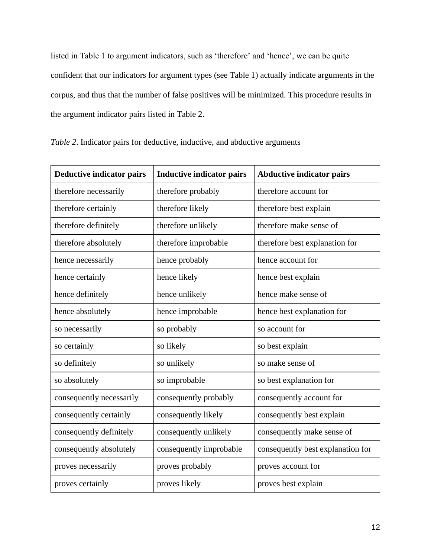listed in Table 1 to argument indicators, such as 'therefore' and 'hence', we can be quite confident that our indicators for argument types (see Table 1) actually indicate arguments in the corpus, and thus that the number of false positives will be minimized. This procedure results in the argument indicator pairs listed in Table 2.

| <b>Deductive indicator pairs</b> | <b>Inductive indicator pairs</b> | <b>Abductive indicator pairs</b>  |
|----------------------------------|----------------------------------|-----------------------------------|
| therefore necessarily            | therefore probably               | therefore account for             |
| therefore certainly              | therefore likely                 | therefore best explain            |
| therefore definitely             | therefore unlikely               | therefore make sense of           |
| therefore absolutely             | therefore improbable             | therefore best explanation for    |
| hence necessarily                | hence probably                   | hence account for                 |
| hence certainly                  | hence likely                     | hence best explain                |
| hence definitely                 | hence unlikely                   | hence make sense of               |
| hence absolutely                 | hence improbable                 | hence best explanation for        |
| so necessarily                   | so probably                      | so account for                    |
| so certainly                     | so likely                        | so best explain                   |
| so definitely                    | so unlikely                      | so make sense of                  |
| so absolutely                    | so improbable                    | so best explanation for           |
| consequently necessarily         | consequently probably            | consequently account for          |
| consequently certainly           | consequently likely              | consequently best explain         |
| consequently definitely          | consequently unlikely            | consequently make sense of        |
| consequently absolutely          | consequently improbable          | consequently best explanation for |

proves necessarily proves probably proves account for

proves certainly proves likely proves best explain

| Table 2. Indicator pairs for deductive, inductive, and abductive arguments |  |  |  |  |  |
|----------------------------------------------------------------------------|--|--|--|--|--|
|----------------------------------------------------------------------------|--|--|--|--|--|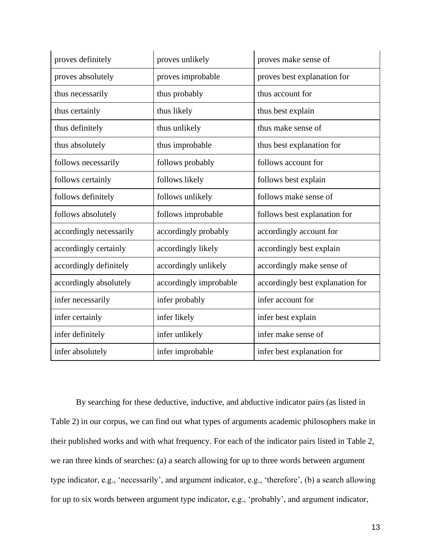| proves definitely       | proves unlikely        | proves make sense of             |
|-------------------------|------------------------|----------------------------------|
| proves absolutely       | proves improbable      | proves best explanation for      |
| thus necessarily        | thus probably          | thus account for                 |
| thus certainly          | thus likely            | thus best explain                |
| thus definitely         | thus unlikely          | thus make sense of               |
| thus absolutely         | thus improbable        | thus best explanation for        |
| follows necessarily     | follows probably       | follows account for              |
| follows certainly       | follows likely         | follows best explain             |
| follows definitely      | follows unlikely       | follows make sense of            |
| follows absolutely      | follows improbable     | follows best explanation for     |
| accordingly necessarily | accordingly probably   | accordingly account for          |
| accordingly certainly   | accordingly likely     | accordingly best explain         |
| accordingly definitely  | accordingly unlikely   | accordingly make sense of        |
| accordingly absolutely  | accordingly improbable | accordingly best explanation for |
| infer necessarily       | infer probably         | infer account for                |
| infer certainly         | infer likely           | infer best explain               |
| infer definitely        | infer unlikely         | infer make sense of              |
| infer absolutely        | infer improbable       | infer best explanation for       |

By searching for these deductive, inductive, and abductive indicator pairs (as listed in Table 2) in our corpus, we can find out what types of arguments academic philosophers make in their published works and with what frequency. For each of the indicator pairs listed in Table 2, we ran three kinds of searches: (a) a search allowing for up to three words between argument type indicator, e.g., 'necessarily', and argument indicator, e.g., 'therefore', (b) a search allowing for up to six words between argument type indicator, e.g., 'probably', and argument indicator,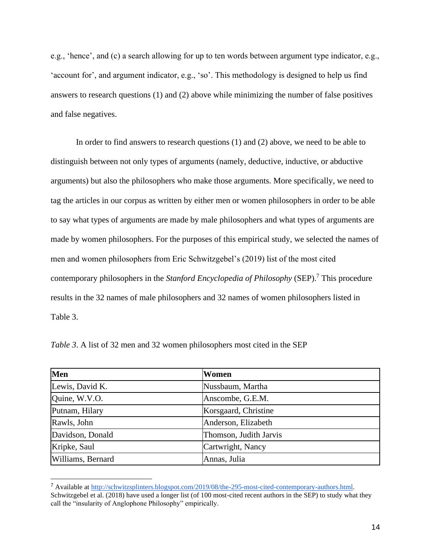e.g., 'hence', and (c) a search allowing for up to ten words between argument type indicator, e.g., 'account for', and argument indicator, e.g., 'so'. This methodology is designed to help us find answers to research questions (1) and (2) above while minimizing the number of false positives and false negatives.

In order to find answers to research questions (1) and (2) above, we need to be able to distinguish between not only types of arguments (namely, deductive, inductive, or abductive arguments) but also the philosophers who make those arguments. More specifically, we need to tag the articles in our corpus as written by either men or women philosophers in order to be able to say what types of arguments are made by male philosophers and what types of arguments are made by women philosophers. For the purposes of this empirical study, we selected the names of men and women philosophers from Eric Schwitzgebel's (2019) list of the most cited contemporary philosophers in the *Stanford Encyclopedia of Philosophy* (SEP).<sup>7</sup> This procedure results in the 32 names of male philosophers and 32 names of women philosophers listed in Table 3.

| Men               | Women                  |
|-------------------|------------------------|
| Lewis, David K.   | Nussbaum, Martha       |
| Quine, W.V.O.     | Anscombe, G.E.M.       |
| Putnam, Hilary    | Korsgaard, Christine   |
| Rawls, John       | Anderson, Elizabeth    |
| Davidson, Donald  | Thomson, Judith Jarvis |
| Kripke, Saul      | Cartwright, Nancy      |
| Williams, Bernard | Annas, Julia           |

*Table 3*. A list of 32 men and 32 women philosophers most cited in the SEP

<sup>7</sup> Available at [http://schwitzsplinters.blogspot.com/2019/08/the-295-most-cited-contemporary-authors.html.](http://schwitzsplinters.blogspot.com/2019/08/the-295-most-cited-contemporary-authors.html) Schwitzgebel et al. (2018) have used a longer list (of 100 most-cited recent authors in the SEP) to study what they call the "insularity of Anglophone Philosophy" empirically.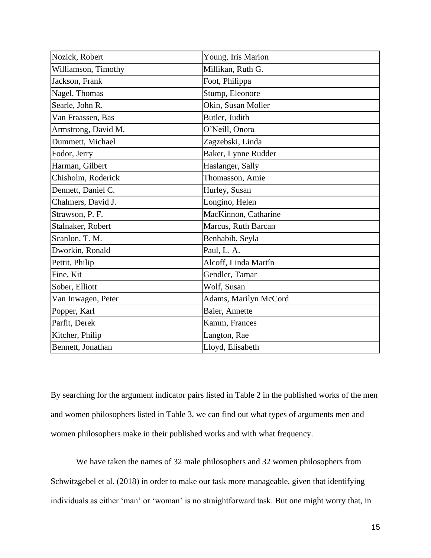| Nozick, Robert      | Young, Iris Marion    |
|---------------------|-----------------------|
| Williamson, Timothy | Millikan, Ruth G.     |
| Jackson, Frank      | Foot, Philippa        |
| Nagel, Thomas       | Stump, Eleonore       |
| Searle, John R.     | Okin, Susan Moller    |
| Van Fraassen, Bas   | Butler, Judith        |
| Armstrong, David M. | O'Neill, Onora        |
| Dummett, Michael    | Zagzebski, Linda      |
| Fodor, Jerry        | Baker, Lynne Rudder   |
| Harman, Gilbert     | Haslanger, Sally      |
| Chisholm, Roderick  | Thomasson, Amie       |
| Dennett, Daniel C.  | Hurley, Susan         |
| Chalmers, David J.  | Longino, Helen        |
| Strawson, P. F.     | MacKinnon, Catharine  |
| Stalnaker, Robert   | Marcus, Ruth Barcan   |
| Scanlon, T. M.      | Benhabib, Seyla       |
| Dworkin, Ronald     | Paul, L. A.           |
| Pettit, Philip      | Alcoff, Linda Martín  |
| Fine, Kit           | Gendler, Tamar        |
| Sober, Elliott      | Wolf, Susan           |
| Van Inwagen, Peter  | Adams, Marilyn McCord |
| Popper, Karl        | Baier, Annette        |
| Parfit, Derek       | Kamm, Frances         |
| Kitcher, Philip     | Langton, Rae          |
| Bennett, Jonathan   | Lloyd, Elisabeth      |

By searching for the argument indicator pairs listed in Table 2 in the published works of the men and women philosophers listed in Table 3, we can find out what types of arguments men and women philosophers make in their published works and with what frequency.

We have taken the names of 32 male philosophers and 32 women philosophers from Schwitzgebel et al. (2018) in order to make our task more manageable, given that identifying individuals as either 'man' or 'woman' is no straightforward task. But one might worry that, in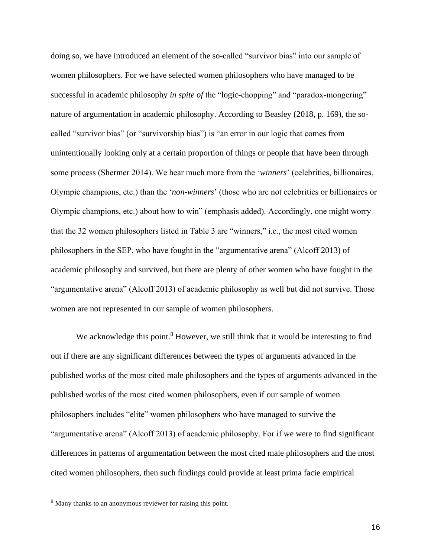doing so, we have introduced an element of the so-called "survivor bias" into our sample of women philosophers. For we have selected women philosophers who have managed to be successful in academic philosophy *in spite of* the "logic-chopping" and "paradox-mongering" nature of argumentation in academic philosophy. According to Beasley (2018, p. 169), the socalled "survivor bias" (or "survivorship bias") is "an error in our logic that comes from unintentionally looking only at a certain proportion of things or people that have been through some process (Shermer 2014). We hear much more from the '*winners*' (celebrities, billionaires, Olympic champions, etc.) than the '*non-winners*' (those who are not celebrities or billionaires or Olympic champions, etc.) about how to win" (emphasis added). Accordingly, one might worry that the 32 women philosophers listed in Table 3 are "winners," i.e., the most cited women philosophers in the SEP, who have fought in the "argumentative arena" (Alcoff 2013) of academic philosophy and survived, but there are plenty of other women who have fought in the "argumentative arena" (Alcoff 2013) of academic philosophy as well but did not survive. Those women are not represented in our sample of women philosophers.

We acknowledge this point.<sup>8</sup> However, we still think that it would be interesting to find out if there are any significant differences between the types of arguments advanced in the published works of the most cited male philosophers and the types of arguments advanced in the published works of the most cited women philosophers, even if our sample of women philosophers includes "elite" women philosophers who have managed to survive the "argumentative arena" (Alcoff 2013) of academic philosophy. For if we were to find significant differences in patterns of argumentation between the most cited male philosophers and the most cited women philosophers, then such findings could provide at least prima facie empirical

<sup>&</sup>lt;sup>8</sup> Many thanks to an anonymous reviewer for raising this point.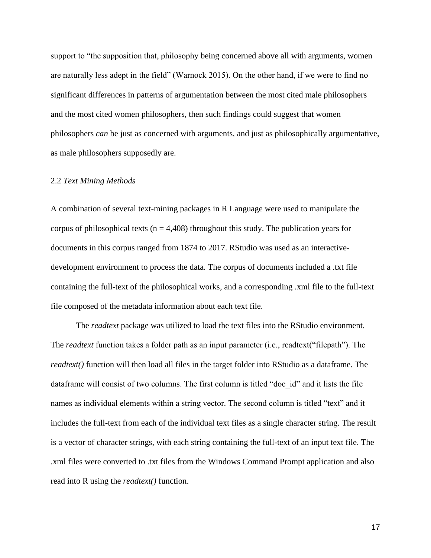support to "the supposition that, philosophy being concerned above all with arguments, women are naturally less adept in the field" (Warnock 2015). On the other hand, if we were to find no significant differences in patterns of argumentation between the most cited male philosophers and the most cited women philosophers, then such findings could suggest that women philosophers *can* be just as concerned with arguments, and just as philosophically argumentative, as male philosophers supposedly are.

## 2.2 *Text Mining Methods*

A combination of several text-mining packages in R Language were used to manipulate the corpus of philosophical texts ( $n = 4,408$ ) throughout this study. The publication years for documents in this corpus ranged from 1874 to 2017. RStudio was used as an interactivedevelopment environment to process the data. The corpus of documents included a .txt file containing the full-text of the philosophical works, and a corresponding .xml file to the full-text file composed of the metadata information about each text file.

The *readtext* package was utilized to load the text files into the RStudio environment. The *readtext* function takes a folder path as an input parameter (i.e., readtext("filepath"). The *readtext()* function will then load all files in the target folder into RStudio as a dataframe. The dataframe will consist of two columns. The first column is titled "doc\_id" and it lists the file names as individual elements within a string vector. The second column is titled "text" and it includes the full-text from each of the individual text files as a single character string. The result is a vector of character strings, with each string containing the full-text of an input text file. The .xml files were converted to .txt files from the Windows Command Prompt application and also read into R using the *readtext()* function.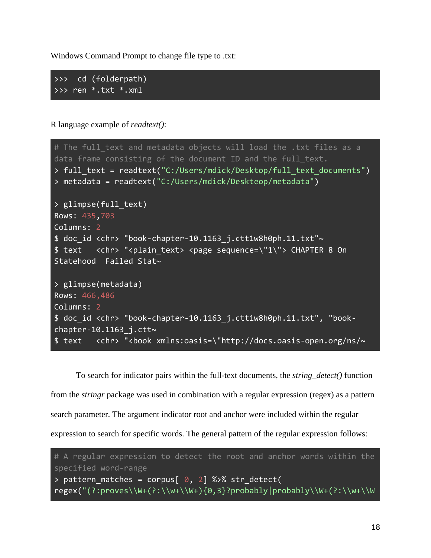Windows Command Prompt to change file type to .txt:

>>> cd (folderpath) >>> ren \*.txt \*.xml

R language example of *readtext()*:

| # The full text and metadata objects will load the .txt files as a                        |
|-------------------------------------------------------------------------------------------|
| data frame consisting of the document ID and the full text.                               |
| > full_text = readtext("C:/Users/mdick/Desktop/full_text_documents")                      |
| > metadata = readtext("C:/Users/mdick/Deskteop/metadata")                                 |
| > glimpse(full text)                                                                      |
| Rows: 435,703                                                                             |
| Columns: 2                                                                                |
| \$ doc id <chr> "book-chapter-10.1163 j.ctt1w8h0ph.11.txt"~</chr>                         |
| \$ text <chr> "<plain text=""> <page sequence='\"1\"'> CHAPTER 8 On</page></plain></chr>  |
| Statehood Failed Stat~                                                                    |
|                                                                                           |
| > glimpse(metadata)                                                                       |
| Rows: 466,486                                                                             |
| Columns: 2                                                                                |
| \$ doc id <chr> "book-chapter-10.1163 j.ctt1w8h0ph.11.txt", "book-</chr>                  |
| chapter-10. $\overline{1163}$ j.ctt~                                                      |
| \$ text <chr> "<book xmlns:oasis='\"http://docs.oasis-open.org/ns/~&lt;/td'></book></chr> |

To search for indicator pairs within the full-text documents, the *string\_detect()* function from the *stringr* package was used in combination with a regular expression (regex) as a pattern search parameter. The argument indicator root and anchor were included within the regular expression to search for specific words. The general pattern of the regular expression follows:

```
# A regular expression to detect the root and anchor words within the 
specified word-range
> pattern_matches = corpus[0, 2] %>% str_detect(
regex("(?:proves\\W+(?:\\w+\\W+){0,3}?probably|probably\\W+(?:\\w+\\W
```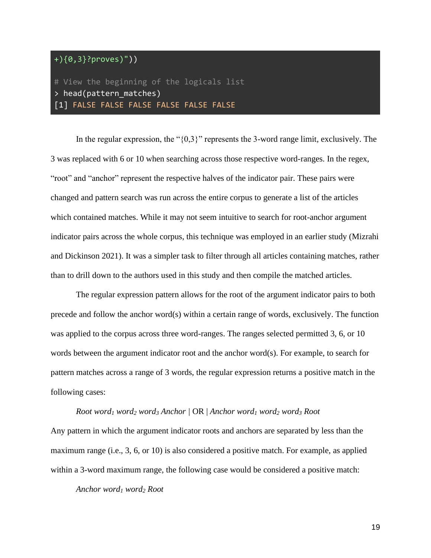# +){0,3}?proves)"))

## # View the beginning of the logicals list > head(pattern\_matches) [1] FALSE FALSE FALSE FALSE FALSE FALSE

In the regular expression, the "{0,3}" represents the 3-word range limit, exclusively. The 3 was replaced with 6 or 10 when searching across those respective word-ranges. In the regex, "root" and "anchor" represent the respective halves of the indicator pair. These pairs were changed and pattern search was run across the entire corpus to generate a list of the articles which contained matches. While it may not seem intuitive to search for root-anchor argument indicator pairs across the whole corpus, this technique was employed in an earlier study (Mizrahi and Dickinson 2021). It was a simpler task to filter through all articles containing matches, rather than to drill down to the authors used in this study and then compile the matched articles.

The regular expression pattern allows for the root of the argument indicator pairs to both precede and follow the anchor word(s) within a certain range of words, exclusively. The function was applied to the corpus across three word-ranges. The ranges selected permitted 3, 6, or 10 words between the argument indicator root and the anchor word(s). For example, to search for pattern matches across a range of 3 words, the regular expression returns a positive match in the following cases:

*Root word<sup>1</sup> word<sup>2</sup> word<sup>3</sup> Anchor |* OR | *Anchor word<sup>1</sup> word<sup>2</sup> word<sup>3</sup> Root* Any pattern in which the argument indicator roots and anchors are separated by less than the maximum range (i.e., 3, 6, or 10) is also considered a positive match. For example, as applied within a 3-word maximum range, the following case would be considered a positive match:

*Anchor word<sup>1</sup> word<sup>2</sup> Root*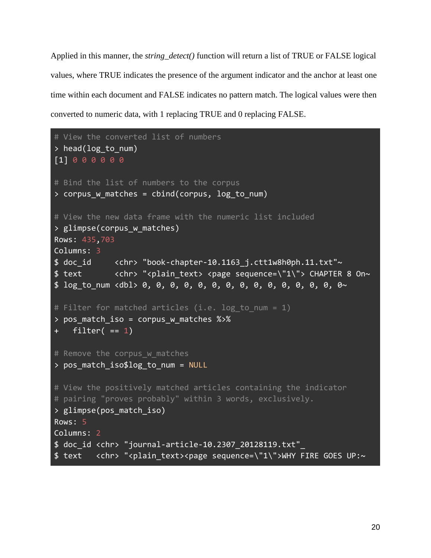Applied in this manner, the *string\_detect()* function will return a list of TRUE or FALSE logical values, where TRUE indicates the presence of the argument indicator and the anchor at least one time within each document and FALSE indicates no pattern match. The logical values were then converted to numeric data, with 1 replacing TRUE and 0 replacing FALSE.

```
# View the converted list of numbers
> head(log to num)
[1] 0 0 0 0 0 0
# Bind the list of numbers to the corpus
> corpus w matches = cbind(corpus, log to num)
# View the new data frame with the numeric list included
> glimpse(corpus w matches)
Rows: 435,703
Columns: 3
$doc_id <chr> "book-chapter-10.1163_j.ctt1w8h0ph.11.txt"~
$ text <chr> "<plain text> <page sequence=\"1\"> CHAPTER 8 On~
$ log_to_num <dbl> 0, 0, 0, 0, 0, 0, 0, 0, 0, 0, 0, 0, 0, 0, 0~
# Filter for matched articles (i.e. log to num = 1)
> pos match iso = corpus w matches %>%
    filter(= 1)
# Remove the corpus w matches
> pos_match_iso$log_to_num = NULL
# View the positively matched articles containing the indicator 
# pairing "proves probably" within 3 words, exclusively. 
> glimpse(pos_match_iso)
Rows: 5
Columns: 2
$ doc_id <chr> "journal-article-10.2307_20128119.txt"_
$ text <chr> "<plain text><page sequence=\"1\">WHY FIRE GOES UP:~
```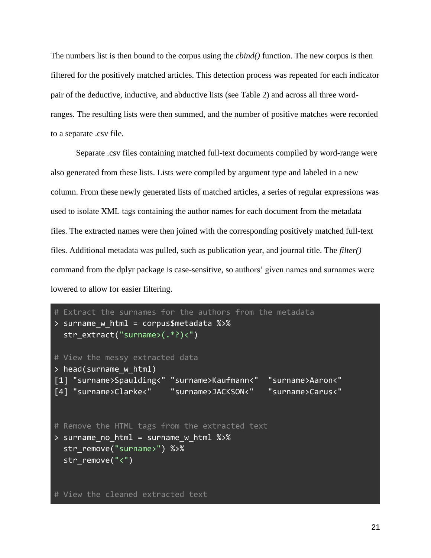The numbers list is then bound to the corpus using the *cbind()* function. The new corpus is then filtered for the positively matched articles. This detection process was repeated for each indicator pair of the deductive, inductive, and abductive lists (see Table 2) and across all three wordranges. The resulting lists were then summed, and the number of positive matches were recorded to a separate .csv file.

Separate .csv files containing matched full-text documents compiled by word-range were also generated from these lists. Lists were compiled by argument type and labeled in a new column. From these newly generated lists of matched articles, a series of regular expressions was used to isolate XML tags containing the author names for each document from the metadata files. The extracted names were then joined with the corresponding positively matched full-text files. Additional metadata was pulled, such as publication year, and journal title. The *filter()* command from the dplyr package is case-sensitive, so authors' given names and surnames were lowered to allow for easier filtering.

```
# Extract the surnames for the authors from the metadata
> surname w html = corpus$metadata %>%
   str_extract("surname>(.*?)<")
# View the messy extracted data
> head(surname w html)
[1] "surname>Spaulding<" "surname>Kaufmann<" "surname>Aaron<" 
[4] "surname>Clarke<" "surname>JACKSON<" "surname>Carus<" 
# Remove the HTML tags from the extracted text
> surname no html = surname w html %>%
  str remove("surname>") %>%
  str remove("<")
# View the cleaned extracted text
```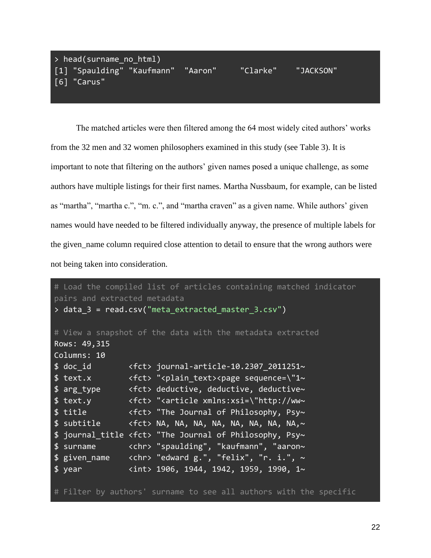# > head(surname no html) [1] "Spaulding" "Kaufmann" "Aaron" "Clarke" "JACKSON" [6] "Carus"

The matched articles were then filtered among the 64 most widely cited authors' works from the 32 men and 32 women philosophers examined in this study (see Table 3). It is important to note that filtering on the authors' given names posed a unique challenge, as some authors have multiple listings for their first names. Martha Nussbaum, for example, can be listed as "martha", "martha c.", "m. c.", and "martha craven" as a given name. While authors' given names would have needed to be filtered individually anyway, the presence of multiple labels for the given name column required close attention to detail to ensure that the wrong authors were not being taken into consideration.

```
# Load the compiled list of articles containing matched indicator 
pairs and extracted metadata
> data_3 = read.csv("meta_extracted_master_3.csv")
# View a snapshot of the data with the metadata extracted
Rows: 49,315
Columns: 10
$ doc id \leftarrow <fct> journal-article-10.2307 2011251~
$ text.x <fct> "<plain_text><page sequence=\"1~
$ arg_type <fct> deductive, deductive, deductive~
$ text.y <fct> "<article xmlns:xsi=\"http://ww~
$ title <fct> "The Journal of Philosophy, Psy~
$ subtitle <fct> NA, NA, NA, NA, NA, NA, NA, NA,~
$ journal_title <fct> "The Journal of Philosophy, Psy~
$ surname <chr> "spaulding", "kaufmann", "aaron~
$ given_name <chr> "edward g.", "felix", "r. i.", ~
$ year <int> 1906, 1944, 1942, 1959, 1990, 1~
# Filter by authors' surname to see all authors with the specific
```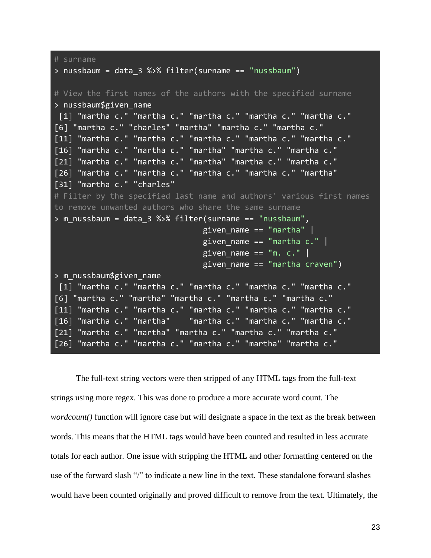```
# surname
> nussbaum = data_3 %>% filter(surname == "nussbaum")
# View the first names of the authors with the specified surname
> nussbaum$given_name
[1] "martha c." "martha c." "martha c." "martha c." "martha c." 
[6] "martha c." "charles" "martha" "martha c." "martha c." 
[11] "martha c." "martha c." "martha c." "martha c." "martha c." 
[16] "martha c." "martha c." "martha" "martha c." "martha c." 
[21] "martha c." "martha c." "martha" "martha c." "martha c." 
[26] "martha c." "martha c." "martha c." "martha c." "martha" 
[31] "martha c." "charles"
# Filter by the specified last name and authors' various first names 
to remove unwanted authors who share the same surname
> m_nussbaum = data_3 %>% filter(surname == "nussbaum", 
                                given_name == "martha" |given name == "martha c." |
                                given_name == "m. c."given name == "martha craven")
> m_nussbaum$given_name
 [1] "martha c." "martha c." "martha c." "martha c." "martha c." 
[6] "martha c." "martha" "martha c." "martha c." "martha c." 
[11] "martha c." "martha c." "martha c." "martha c." "martha c." 
[16] "martha c." "martha" "martha c." "martha c." "martha c." 
[21] "martha c." "martha" "martha c." "martha c." "martha c." 
[26] "martha c." "martha c." "martha c." "martha" "martha c."
```
The full-text string vectors were then stripped of any HTML tags from the full-text strings using more regex. This was done to produce a more accurate word count. The *wordcount()* function will ignore case but will designate a space in the text as the break between words. This means that the HTML tags would have been counted and resulted in less accurate totals for each author. One issue with stripping the HTML and other formatting centered on the use of the forward slash "/" to indicate a new line in the text. These standalone forward slashes would have been counted originally and proved difficult to remove from the text. Ultimately, the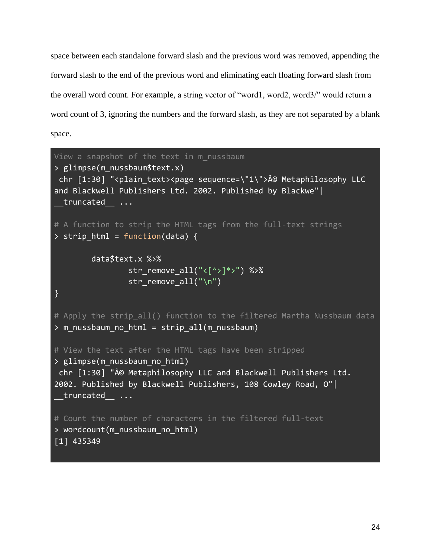space between each standalone forward slash and the previous word was removed, appending the forward slash to the end of the previous word and eliminating each floating forward slash from the overall word count. For example, a string vector of "word1, word2, word3/" would return a word count of 3, ignoring the numbers and the forward slash, as they are not separated by a blank space.

```
View a snapshot of the text in m nussbaum
> glimpse(m_nussbaum$text.x)
chr [1:30] "<plain_text><page sequence=\"1\">© Metaphilosophy LLC
and Blackwell Publishers Ltd. 2002. Published by Blackwe"| 
 truncated ...
# A function to strip the HTML tags from the full-text strings
> strip html = function(data) {
         data$text.x %>% 
                str_remove_all("<[^>]*>") %>%
                str remove all("\n'\n')}
# Apply the strip all() function to the filtered Martha Nussbaum data
> m_nussbaum_no_html = strip_all(m_nussbaum)
# View the text after the HTML tags have been stripped
> glimpse(m_nussbaum_no_html)
chr [1:30] "© Metaphilosophy LLC and Blackwell Publishers Ltd.
2002. Published by Blackwell Publishers, 108 Cowley Road, O"| 
truncated ...
# Count the number of characters in the filtered full-text
> wordcount(m_nussbaum_no_html)
[1] 435349
```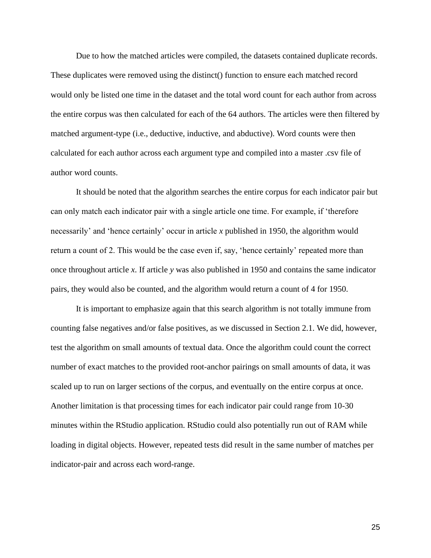Due to how the matched articles were compiled, the datasets contained duplicate records. These duplicates were removed using the distinct() function to ensure each matched record would only be listed one time in the dataset and the total word count for each author from across the entire corpus was then calculated for each of the 64 authors. The articles were then filtered by matched argument-type (i.e., deductive, inductive, and abductive). Word counts were then calculated for each author across each argument type and compiled into a master .csv file of author word counts.

It should be noted that the algorithm searches the entire corpus for each indicator pair but can only match each indicator pair with a single article one time. For example, if 'therefore necessarily' and 'hence certainly' occur in article *x* published in 1950, the algorithm would return a count of 2. This would be the case even if, say, 'hence certainly' repeated more than once throughout article *x*. If article *y* was also published in 1950 and contains the same indicator pairs, they would also be counted, and the algorithm would return a count of 4 for 1950.

It is important to emphasize again that this search algorithm is not totally immune from counting false negatives and/or false positives, as we discussed in Section 2.1. We did, however, test the algorithm on small amounts of textual data. Once the algorithm could count the correct number of exact matches to the provided root-anchor pairings on small amounts of data, it was scaled up to run on larger sections of the corpus, and eventually on the entire corpus at once. Another limitation is that processing times for each indicator pair could range from 10-30 minutes within the RStudio application. RStudio could also potentially run out of RAM while loading in digital objects. However, repeated tests did result in the same number of matches per indicator-pair and across each word-range.

25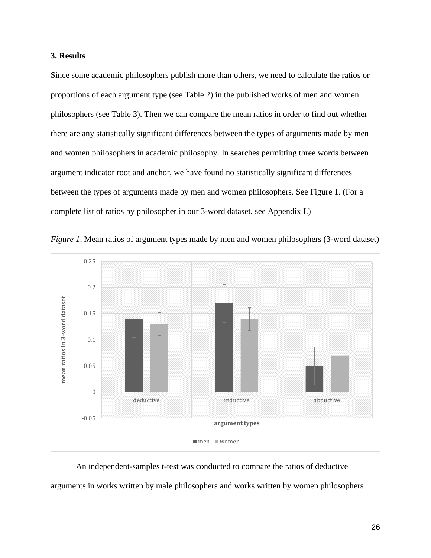## **3. Results**

Since some academic philosophers publish more than others, we need to calculate the ratios or proportions of each argument type (see Table 2) in the published works of men and women philosophers (see Table 3). Then we can compare the mean ratios in order to find out whether there are any statistically significant differences between the types of arguments made by men and women philosophers in academic philosophy. In searches permitting three words between argument indicator root and anchor, we have found no statistically significant differences between the types of arguments made by men and women philosophers. See Figure 1. (For a complete list of ratios by philosopher in our 3-word dataset, see Appendix I.)





An independent-samples t-test was conducted to compare the ratios of deductive arguments in works written by male philosophers and works written by women philosophers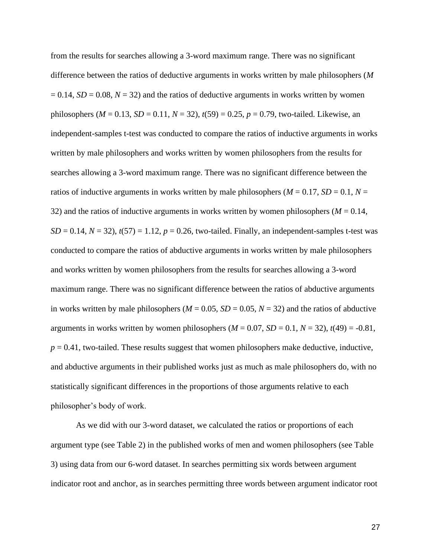from the results for searches allowing a 3-word maximum range. There was no significant difference between the ratios of deductive arguments in works written by male philosophers (*M*  $= 0.14$ ,  $SD = 0.08$ ,  $N = 32$ ) and the ratios of deductive arguments in works written by women philosophers ( $M = 0.13$ ,  $SD = 0.11$ ,  $N = 32$ ),  $t(59) = 0.25$ ,  $p = 0.79$ , two-tailed. Likewise, an independent-samples t-test was conducted to compare the ratios of inductive arguments in works written by male philosophers and works written by women philosophers from the results for searches allowing a 3-word maximum range. There was no significant difference between the ratios of inductive arguments in works written by male philosophers ( $M = 0.17$ ,  $SD = 0.1$ ,  $N =$ 32) and the ratios of inductive arguments in works written by women philosophers ( $M = 0.14$ ,  $SD = 0.14$ ,  $N = 32$ ),  $t(57) = 1.12$ ,  $p = 0.26$ , two-tailed. Finally, an independent-samples t-test was conducted to compare the ratios of abductive arguments in works written by male philosophers and works written by women philosophers from the results for searches allowing a 3-word maximum range. There was no significant difference between the ratios of abductive arguments in works written by male philosophers ( $M = 0.05$ ,  $SD = 0.05$ ,  $N = 32$ ) and the ratios of abductive arguments in works written by women philosophers  $(M = 0.07, SD = 0.1, N = 32)$ ,  $t(49) = -0.81$ ,  $p = 0.41$ , two-tailed. These results suggest that women philosophers make deductive, inductive, and abductive arguments in their published works just as much as male philosophers do, with no statistically significant differences in the proportions of those arguments relative to each philosopher's body of work.

As we did with our 3-word dataset, we calculated the ratios or proportions of each argument type (see Table 2) in the published works of men and women philosophers (see Table 3) using data from our 6-word dataset. In searches permitting six words between argument indicator root and anchor, as in searches permitting three words between argument indicator root

27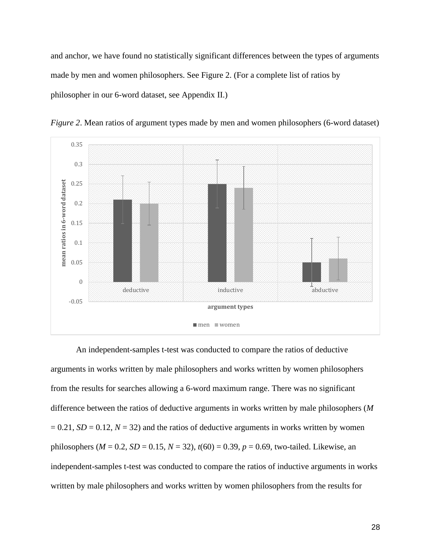and anchor, we have found no statistically significant differences between the types of arguments made by men and women philosophers. See Figure 2. (For a complete list of ratios by philosopher in our 6-word dataset, see Appendix II.)





An independent-samples t-test was conducted to compare the ratios of deductive arguments in works written by male philosophers and works written by women philosophers from the results for searches allowing a 6-word maximum range. There was no significant difference between the ratios of deductive arguments in works written by male philosophers (*M*  $= 0.21$ , *SD* = 0.12, *N* = 32) and the ratios of deductive arguments in works written by women philosophers ( $M = 0.2$ ,  $SD = 0.15$ ,  $N = 32$ ),  $t(60) = 0.39$ ,  $p = 0.69$ , two-tailed. Likewise, an independent-samples t-test was conducted to compare the ratios of inductive arguments in works written by male philosophers and works written by women philosophers from the results for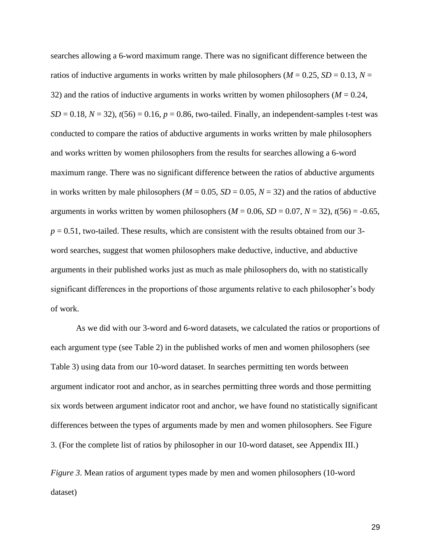searches allowing a 6-word maximum range. There was no significant difference between the ratios of inductive arguments in works written by male philosophers ( $M = 0.25$ ,  $SD = 0.13$ ,  $N =$ 32) and the ratios of inductive arguments in works written by women philosophers  $(M = 0.24,$  $SD = 0.18$ ,  $N = 32$ ),  $t(56) = 0.16$ ,  $p = 0.86$ , two-tailed. Finally, an independent-samples t-test was conducted to compare the ratios of abductive arguments in works written by male philosophers and works written by women philosophers from the results for searches allowing a 6-word maximum range. There was no significant difference between the ratios of abductive arguments in works written by male philosophers ( $M = 0.05$ ,  $SD = 0.05$ ,  $N = 32$ ) and the ratios of abductive arguments in works written by women philosophers ( $M = 0.06$ ,  $SD = 0.07$ ,  $N = 32$ ),  $t(56) = -0.65$ ,  $p = 0.51$ , two-tailed. These results, which are consistent with the results obtained from our 3word searches, suggest that women philosophers make deductive, inductive, and abductive arguments in their published works just as much as male philosophers do, with no statistically significant differences in the proportions of those arguments relative to each philosopher's body of work.

As we did with our 3-word and 6-word datasets, we calculated the ratios or proportions of each argument type (see Table 2) in the published works of men and women philosophers (see Table 3) using data from our 10-word dataset. In searches permitting ten words between argument indicator root and anchor, as in searches permitting three words and those permitting six words between argument indicator root and anchor, we have found no statistically significant differences between the types of arguments made by men and women philosophers. See Figure 3. (For the complete list of ratios by philosopher in our 10-word dataset, see Appendix III.)

*Figure 3*. Mean ratios of argument types made by men and women philosophers (10-word dataset)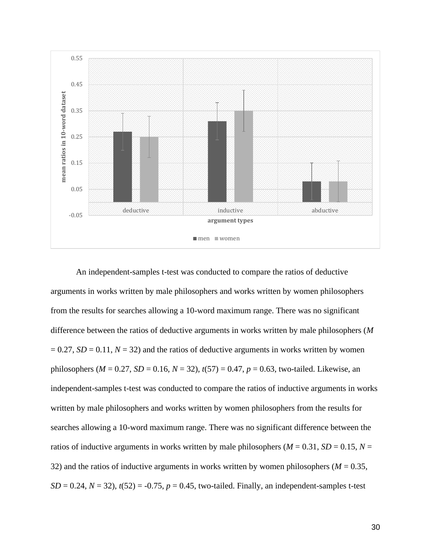

An independent-samples t-test was conducted to compare the ratios of deductive arguments in works written by male philosophers and works written by women philosophers from the results for searches allowing a 10-word maximum range. There was no significant difference between the ratios of deductive arguments in works written by male philosophers (*M*  $= 0.27$ , *SD* = 0.11, *N* = 32) and the ratios of deductive arguments in works written by women philosophers ( $M = 0.27$ ,  $SD = 0.16$ ,  $N = 32$ ),  $t(57) = 0.47$ ,  $p = 0.63$ , two-tailed. Likewise, an independent-samples t-test was conducted to compare the ratios of inductive arguments in works written by male philosophers and works written by women philosophers from the results for searches allowing a 10-word maximum range. There was no significant difference between the ratios of inductive arguments in works written by male philosophers ( $M = 0.31$ ,  $SD = 0.15$ ,  $N =$ 32) and the ratios of inductive arguments in works written by women philosophers ( $M = 0.35$ ,  $SD = 0.24$ ,  $N = 32$ ),  $t(52) = -0.75$ ,  $p = 0.45$ , two-tailed. Finally, an independent-samples t-test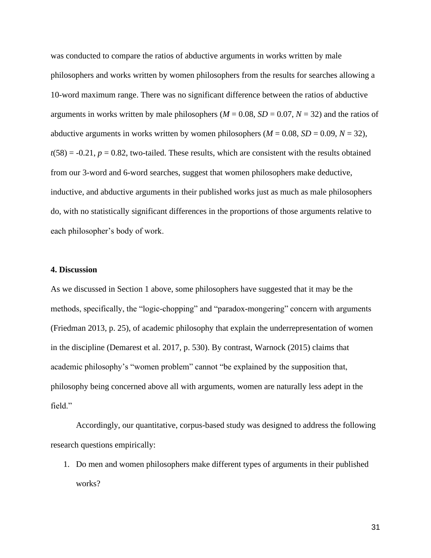was conducted to compare the ratios of abductive arguments in works written by male philosophers and works written by women philosophers from the results for searches allowing a 10-word maximum range. There was no significant difference between the ratios of abductive arguments in works written by male philosophers ( $M = 0.08$ ,  $SD = 0.07$ ,  $N = 32$ ) and the ratios of abductive arguments in works written by women philosophers ( $M = 0.08$ ,  $SD = 0.09$ ,  $N = 32$ ),  $t(58) = -0.21$ ,  $p = 0.82$ , two-tailed. These results, which are consistent with the results obtained from our 3-word and 6-word searches, suggest that women philosophers make deductive, inductive, and abductive arguments in their published works just as much as male philosophers do, with no statistically significant differences in the proportions of those arguments relative to each philosopher's body of work.

## **4. Discussion**

As we discussed in Section 1 above, some philosophers have suggested that it may be the methods, specifically, the "logic-chopping" and "paradox-mongering" concern with arguments (Friedman 2013, p. 25), of academic philosophy that explain the underrepresentation of women in the discipline (Demarest et al. 2017, p. 530). By contrast, Warnock (2015) claims that academic philosophy's "women problem" cannot "be explained by the supposition that, philosophy being concerned above all with arguments, women are naturally less adept in the field."

Accordingly, our quantitative, corpus-based study was designed to address the following research questions empirically:

1. Do men and women philosophers make different types of arguments in their published works?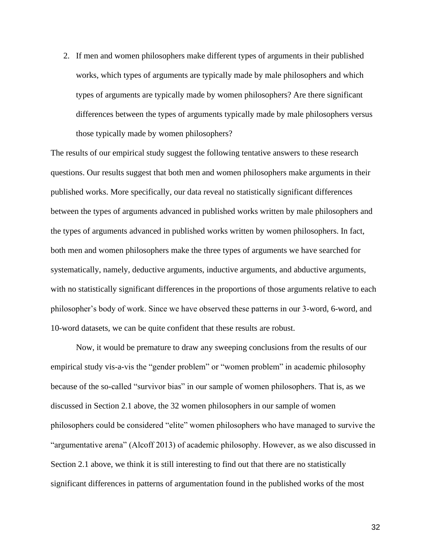2. If men and women philosophers make different types of arguments in their published works, which types of arguments are typically made by male philosophers and which types of arguments are typically made by women philosophers? Are there significant differences between the types of arguments typically made by male philosophers versus those typically made by women philosophers?

The results of our empirical study suggest the following tentative answers to these research questions. Our results suggest that both men and women philosophers make arguments in their published works. More specifically, our data reveal no statistically significant differences between the types of arguments advanced in published works written by male philosophers and the types of arguments advanced in published works written by women philosophers. In fact, both men and women philosophers make the three types of arguments we have searched for systematically, namely, deductive arguments, inductive arguments, and abductive arguments, with no statistically significant differences in the proportions of those arguments relative to each philosopher's body of work. Since we have observed these patterns in our 3-word, 6-word, and 10-word datasets, we can be quite confident that these results are robust.

Now, it would be premature to draw any sweeping conclusions from the results of our empirical study vis-a-vis the "gender problem" or "women problem" in academic philosophy because of the so-called "survivor bias" in our sample of women philosophers. That is, as we discussed in Section 2.1 above, the 32 women philosophers in our sample of women philosophers could be considered "elite" women philosophers who have managed to survive the "argumentative arena" (Alcoff 2013) of academic philosophy. However, as we also discussed in Section 2.1 above, we think it is still interesting to find out that there are no statistically significant differences in patterns of argumentation found in the published works of the most

32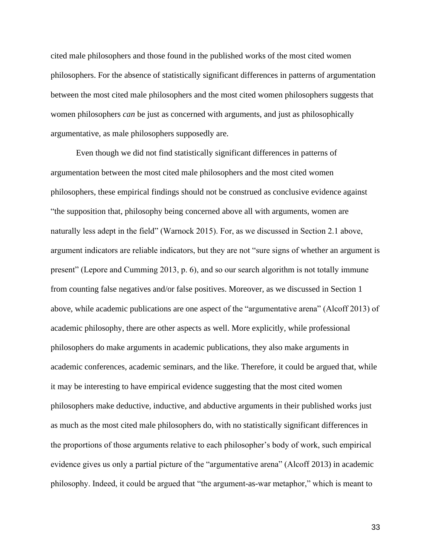cited male philosophers and those found in the published works of the most cited women philosophers. For the absence of statistically significant differences in patterns of argumentation between the most cited male philosophers and the most cited women philosophers suggests that women philosophers *can* be just as concerned with arguments, and just as philosophically argumentative, as male philosophers supposedly are.

Even though we did not find statistically significant differences in patterns of argumentation between the most cited male philosophers and the most cited women philosophers, these empirical findings should not be construed as conclusive evidence against "the supposition that, philosophy being concerned above all with arguments, women are naturally less adept in the field" (Warnock 2015). For, as we discussed in Section 2.1 above, argument indicators are reliable indicators, but they are not "sure signs of whether an argument is present" (Lepore and Cumming 2013, p. 6), and so our search algorithm is not totally immune from counting false negatives and/or false positives. Moreover, as we discussed in Section 1 above, while academic publications are one aspect of the "argumentative arena" (Alcoff 2013) of academic philosophy, there are other aspects as well. More explicitly, while professional philosophers do make arguments in academic publications, they also make arguments in academic conferences, academic seminars, and the like. Therefore, it could be argued that, while it may be interesting to have empirical evidence suggesting that the most cited women philosophers make deductive, inductive, and abductive arguments in their published works just as much as the most cited male philosophers do, with no statistically significant differences in the proportions of those arguments relative to each philosopher's body of work, such empirical evidence gives us only a partial picture of the "argumentative arena" (Alcoff 2013) in academic philosophy. Indeed, it could be argued that "the argument-as-war metaphor," which is meant to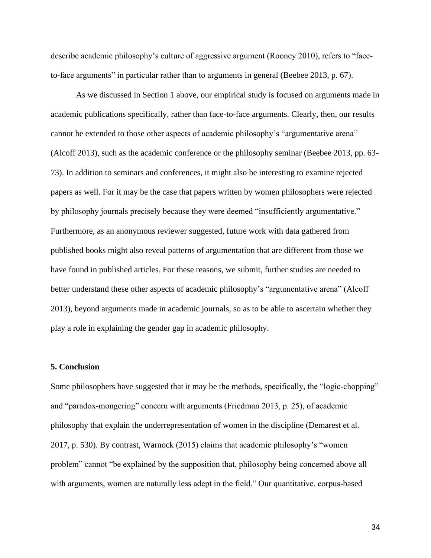describe academic philosophy's culture of aggressive argument (Rooney 2010), refers to "faceto-face arguments" in particular rather than to arguments in general (Beebee 2013, p. 67).

As we discussed in Section 1 above, our empirical study is focused on arguments made in academic publications specifically, rather than face-to-face arguments. Clearly, then, our results cannot be extended to those other aspects of academic philosophy's "argumentative arena" (Alcoff 2013), such as the academic conference or the philosophy seminar (Beebee 2013, pp. 63- 73). In addition to seminars and conferences, it might also be interesting to examine rejected papers as well. For it may be the case that papers written by women philosophers were rejected by philosophy journals precisely because they were deemed "insufficiently argumentative." Furthermore, as an anonymous reviewer suggested, future work with data gathered from published books might also reveal patterns of argumentation that are different from those we have found in published articles. For these reasons, we submit, further studies are needed to better understand these other aspects of academic philosophy's "argumentative arena" (Alcoff 2013), beyond arguments made in academic journals, so as to be able to ascertain whether they play a role in explaining the gender gap in academic philosophy.

## **5. Conclusion**

Some philosophers have suggested that it may be the methods, specifically, the "logic-chopping" and "paradox-mongering" concern with arguments (Friedman 2013, p. 25), of academic philosophy that explain the underrepresentation of women in the discipline (Demarest et al. 2017, p. 530). By contrast, Warnock (2015) claims that academic philosophy's "women problem" cannot "be explained by the supposition that, philosophy being concerned above all with arguments, women are naturally less adept in the field." Our quantitative, corpus-based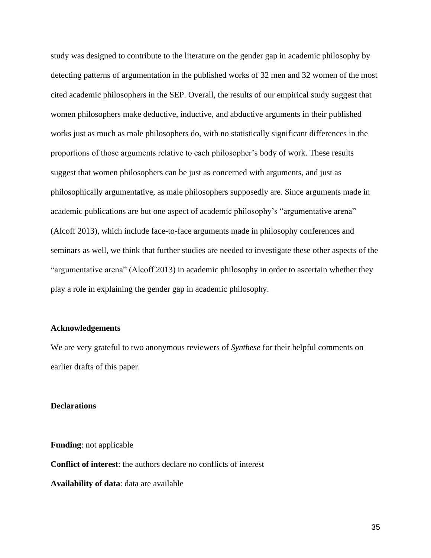study was designed to contribute to the literature on the gender gap in academic philosophy by detecting patterns of argumentation in the published works of 32 men and 32 women of the most cited academic philosophers in the SEP. Overall, the results of our empirical study suggest that women philosophers make deductive, inductive, and abductive arguments in their published works just as much as male philosophers do, with no statistically significant differences in the proportions of those arguments relative to each philosopher's body of work. These results suggest that women philosophers can be just as concerned with arguments, and just as philosophically argumentative, as male philosophers supposedly are. Since arguments made in academic publications are but one aspect of academic philosophy's "argumentative arena" (Alcoff 2013), which include face-to-face arguments made in philosophy conferences and seminars as well, we think that further studies are needed to investigate these other aspects of the "argumentative arena" (Alcoff 2013) in academic philosophy in order to ascertain whether they play a role in explaining the gender gap in academic philosophy.

## **Acknowledgements**

We are very grateful to two anonymous reviewers of *Synthese* for their helpful comments on earlier drafts of this paper.

#### **Declarations**

**Funding**: not applicable **Conflict of interest**: the authors declare no conflicts of interest **Availability of data**: data are available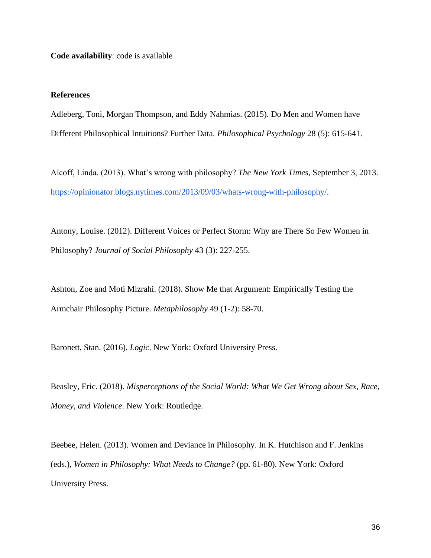**Code availability**: code is available

## **References**

Adleberg, Toni, Morgan Thompson, and Eddy Nahmias. (2015). Do Men and Women have Different Philosophical Intuitions? Further Data. *Philosophical Psychology* 28 (5): 615-641.

Alcoff, Linda. (2013). What's wrong with philosophy? *The New York Times*, September 3, 2013. [https://opinionator.blogs.nytimes.com/2013/09/03/whats-wrong-with-philosophy/.](https://opinionator.blogs.nytimes.com/2013/09/03/whats-wrong-with-philosophy/)

Antony, Louise. (2012). Different Voices or Perfect Storm: Why are There So Few Women in Philosophy? *Journal of Social Philosophy* 43 (3): 227-255.

Ashton, Zoe and Moti Mizrahi. (2018). Show Me that Argument: Empirically Testing the Armchair Philosophy Picture. *Metaphilosophy* 49 (1-2): 58-70.

Baronett, Stan. (2016). *Logic*. New York: Oxford University Press.

Beasley, Eric. (2018). *Misperceptions of the Social World: What We Get Wrong about Sex, Race, Money, and Violence*. New York: Routledge.

Beebee, Helen. (2013). Women and Deviance in Philosophy. In K. Hutchison and F. Jenkins (eds.), *Women in Philosophy: What Needs to Change?* (pp. 61-80). New York: Oxford University Press.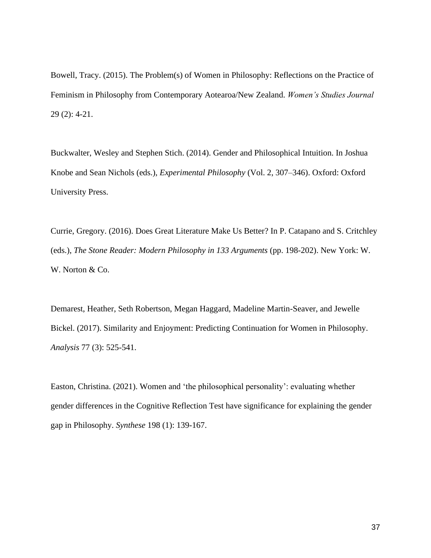Bowell, Tracy. (2015). The Problem(s) of Women in Philosophy: Reflections on the Practice of Feminism in Philosophy from Contemporary Aotearoa/New Zealand. *Women's Studies Journal*  29 (2): 4-21.

Buckwalter, Wesley and Stephen Stich. (2014). Gender and Philosophical Intuition. In Joshua Knobe and Sean Nichols (eds.), *Experimental Philosophy* (Vol. 2, 307–346). Oxford: Oxford University Press.

Currie, Gregory. (2016). Does Great Literature Make Us Better? In P. Catapano and S. Critchley (eds.), *The Stone Reader: Modern Philosophy in 133 Arguments* (pp. 198-202). New York: W. W. Norton & Co.

Demarest, Heather, Seth Robertson, Megan Haggard, Madeline Martin-Seaver, and Jewelle Bickel. (2017). Similarity and Enjoyment: Predicting Continuation for Women in Philosophy. *Analysis* 77 (3): 525-541.

Easton, Christina. (2021). Women and 'the philosophical personality': evaluating whether gender differences in the Cognitive Reflection Test have significance for explaining the gender gap in Philosophy. *Synthese* 198 (1): 139-167.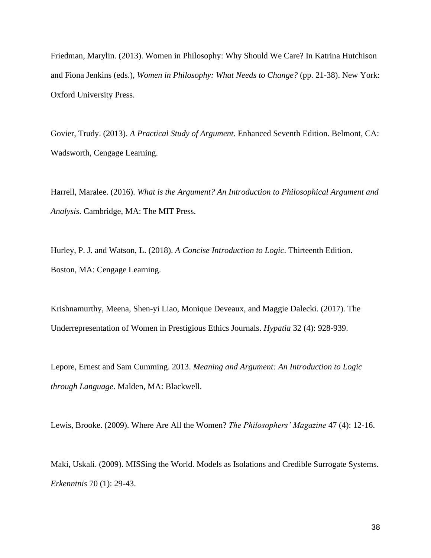Friedman, Marylin. (2013). Women in Philosophy: Why Should We Care? In Katrina Hutchison and Fiona Jenkins (eds.), *Women in Philosophy: What Needs to Change?* (pp. 21-38). New York: Oxford University Press.

Govier, Trudy. (2013). *A Practical Study of Argument*. Enhanced Seventh Edition. Belmont, CA: Wadsworth, Cengage Learning.

Harrell, Maralee. (2016). *What is the Argument? An Introduction to Philosophical Argument and Analysis*. Cambridge, MA: The MIT Press.

Hurley, P. J. and Watson, L. (2018). *A Concise Introduction to Logic*. Thirteenth Edition. Boston, MA: Cengage Learning.

Krishnamurthy, Meena, Shen-yi Liao, Monique Deveaux, and Maggie Dalecki. (2017). The Underrepresentation of Women in Prestigious Ethics Journals. *Hypatia* 32 (4): 928-939.

Lepore, Ernest and Sam Cumming. 2013. *Meaning and Argument: An Introduction to Logic through Language*. Malden, MA: Blackwell.

Lewis, Brooke. (2009). Where Are All the Women? *The Philosophers' Magazine* 47 (4): 12-16.

Maki, Uskali. (2009). MISSing the World. Models as Isolations and Credible Surrogate Systems. *Erkenntnis* 70 (1): 29-43.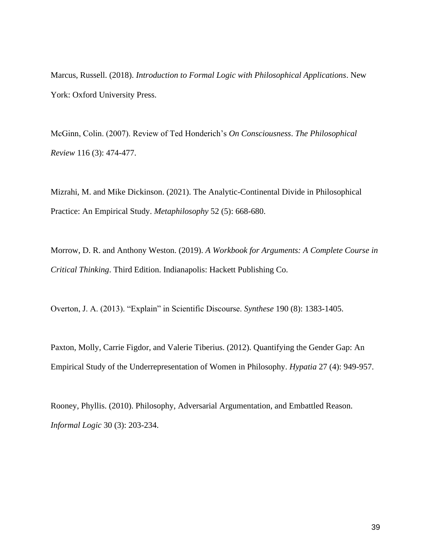Marcus, Russell. (2018). *Introduction to Formal Logic with Philosophical Applications*. New York: Oxford University Press.

McGinn, Colin. (2007). Review of Ted Honderich's *On Consciousness*. *The Philosophical Review* 116 (3): 474-477.

Mizrahi, M. and Mike Dickinson. (2021). The Analytic-Continental Divide in Philosophical Practice: An Empirical Study. *Metaphilosophy* 52 (5): 668-680.

Morrow, D. R. and Anthony Weston. (2019). *A Workbook for Arguments: A Complete Course in Critical Thinking*. Third Edition. Indianapolis: Hackett Publishing Co.

Overton, J. A. (2013). "Explain" in Scientific Discourse. *Synthese* 190 (8): 1383-1405.

Paxton, Molly, Carrie Figdor, and Valerie Tiberius. (2012). Quantifying the Gender Gap: An Empirical Study of the Underrepresentation of Women in Philosophy. *Hypatia* 27 (4): 949-957.

Rooney, Phyllis. (2010). Philosophy, Adversarial Argumentation, and Embattled Reason. *Informal Logic* 30 (3): 203-234.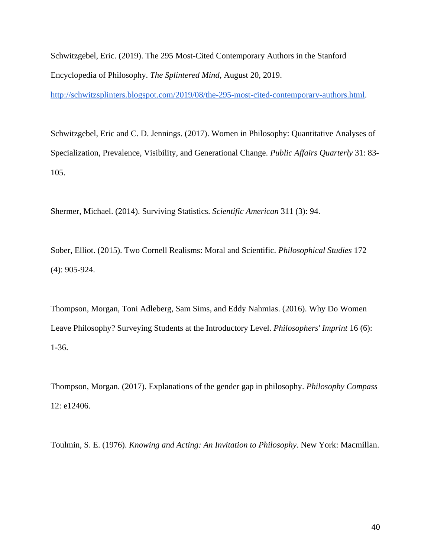Schwitzgebel, Eric. (2019). The 295 Most-Cited Contemporary Authors in the Stanford Encyclopedia of Philosophy. *The Splintered Mind*, August 20, 2019.

[http://schwitzsplinters.blogspot.com/2019/08/the-295-most-cited-contemporary-authors.html.](http://schwitzsplinters.blogspot.com/2019/08/the-295-most-cited-contemporary-authors.html)

Schwitzgebel, Eric and C. D. Jennings. (2017). Women in Philosophy: Quantitative Analyses of Specialization, Prevalence, Visibility, and Generational Change. *Public Affairs Quarterly* 31: 83- 105.

Shermer, Michael. (2014). Surviving Statistics. *Scientific American* 311 (3): 94.

Sober, Elliot. (2015). Two Cornell Realisms: Moral and Scientific. *Philosophical Studies* 172 (4): 905-924.

Thompson, Morgan, Toni Adleberg, Sam Sims, and Eddy Nahmias. (2016). Why Do Women Leave Philosophy? Surveying Students at the Introductory Level. *Philosophers' Imprint* 16 (6): 1-36.

Thompson, Morgan. (2017). Explanations of the gender gap in philosophy. *Philosophy Compass* 12: e12406.

Toulmin, S. E. (1976). *Knowing and Acting: An Invitation to Philosophy*. New York: Macmillan.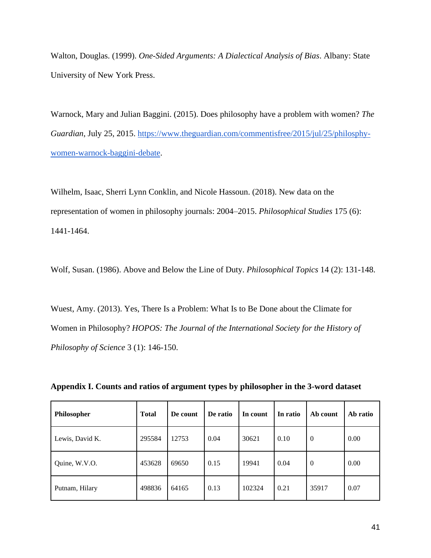Walton, Douglas. (1999). *One-Sided Arguments: A Dialectical Analysis of Bias*. Albany: State University of New York Press.

Warnock, Mary and Julian Baggini. (2015). Does philosophy have a problem with women? *The Guardian*, July 25, 2015. [https://www.theguardian.com/commentisfree/2015/jul/25/philosphy](https://www.theguardian.com/commentisfree/2015/jul/25/philosphy-women-warnock-baggini-debate)[women-warnock-baggini-debate.](https://www.theguardian.com/commentisfree/2015/jul/25/philosphy-women-warnock-baggini-debate)

Wilhelm, Isaac, Sherri Lynn Conklin, and Nicole Hassoun. (2018). New data on the representation of women in philosophy journals: 2004–2015. *Philosophical Studies* 175 (6): 1441-1464.

Wolf, Susan. (1986). Above and Below the Line of Duty. *Philosophical Topics* 14 (2): 131-148.

Wuest, Amy. (2013). Yes, There Is a Problem: What Is to Be Done about the Climate for Women in Philosophy? *HOPOS: The Journal of the International Society for the History of Philosophy of Science* 3 (1): 146-150.

| Philosopher     | Total  | De count | De ratio | In count | In ratio | Ab count       | Ab ratio |
|-----------------|--------|----------|----------|----------|----------|----------------|----------|
| Lewis, David K. | 295584 | 12753    | 0.04     | 30621    | 0.10     | $\overline{0}$ | 0.00     |
| Quine, W.V.O.   | 453628 | 69650    | 0.15     | 19941    | 0.04     | $\overline{0}$ | 0.00     |
| Putnam, Hilary  | 498836 | 64165    | 0.13     | 102324   | 0.21     | 35917          | 0.07     |

**Appendix I. Counts and ratios of argument types by philosopher in the 3-word dataset**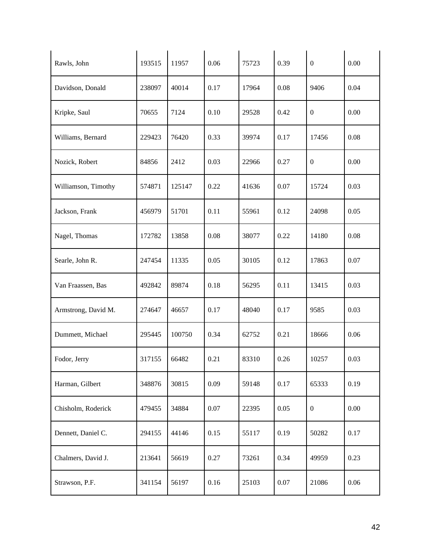| Rawls, John         | 193515 | 11957  | 0.06 | 75723 | 0.39 | $\mathbf{0}$     | 0.00 |
|---------------------|--------|--------|------|-------|------|------------------|------|
| Davidson, Donald    | 238097 | 40014  | 0.17 | 17964 | 0.08 | 9406             | 0.04 |
| Kripke, Saul        | 70655  | 7124   | 0.10 | 29528 | 0.42 | $\boldsymbol{0}$ | 0.00 |
| Williams, Bernard   | 229423 | 76420  | 0.33 | 39974 | 0.17 | 17456            | 0.08 |
| Nozick, Robert      | 84856  | 2412   | 0.03 | 22966 | 0.27 | $\boldsymbol{0}$ | 0.00 |
| Williamson, Timothy | 574871 | 125147 | 0.22 | 41636 | 0.07 | 15724            | 0.03 |
| Jackson, Frank      | 456979 | 51701  | 0.11 | 55961 | 0.12 | 24098            | 0.05 |
| Nagel, Thomas       | 172782 | 13858  | 0.08 | 38077 | 0.22 | 14180            | 0.08 |
| Searle, John R.     | 247454 | 11335  | 0.05 | 30105 | 0.12 | 17863            | 0.07 |
| Van Fraassen, Bas   | 492842 | 89874  | 0.18 | 56295 | 0.11 | 13415            | 0.03 |
| Armstrong, David M. | 274647 | 46657  | 0.17 | 48040 | 0.17 | 9585             | 0.03 |
| Dummett, Michael    | 295445 | 100750 | 0.34 | 62752 | 0.21 | 18666            | 0.06 |
| Fodor, Jerry        | 317155 | 66482  | 0.21 | 83310 | 0.26 | 10257            | 0.03 |
| Harman, Gilbert     | 348876 | 30815  | 0.09 | 59148 | 0.17 | 65333            | 0.19 |
| Chisholm, Roderick  | 479455 | 34884  | 0.07 | 22395 | 0.05 | $\boldsymbol{0}$ | 0.00 |
| Dennett, Daniel C.  | 294155 | 44146  | 0.15 | 55117 | 0.19 | 50282            | 0.17 |
| Chalmers, David J.  | 213641 | 56619  | 0.27 | 73261 | 0.34 | 49959            | 0.23 |
| Strawson, P.F.      | 341154 | 56197  | 0.16 | 25103 | 0.07 | 21086            | 0.06 |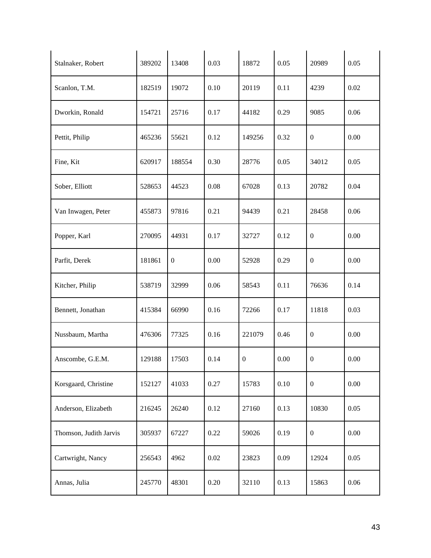| Stalnaker, Robert      | 389202 | 13408        | 0.03 | 18872            | 0.05     | 20989            | 0.05 |
|------------------------|--------|--------------|------|------------------|----------|------------------|------|
| Scanlon, T.M.          | 182519 | 19072        | 0.10 | 20119            | 0.11     | 4239             | 0.02 |
| Dworkin, Ronald        | 154721 | 25716        | 0.17 | 44182            | 0.29     | 9085             | 0.06 |
| Pettit, Philip         | 465236 | 55621        | 0.12 | 149256           | 0.32     | $\boldsymbol{0}$ | 0.00 |
| Fine, Kit              | 620917 | 188554       | 0.30 | 28776            | 0.05     | 34012            | 0.05 |
| Sober, Elliott         | 528653 | 44523        | 0.08 | 67028            | 0.13     | 20782            | 0.04 |
| Van Inwagen, Peter     | 455873 | 97816        | 0.21 | 94439            | 0.21     | 28458            | 0.06 |
| Popper, Karl           | 270095 | 44931        | 0.17 | 32727            | 0.12     | $\boldsymbol{0}$ | 0.00 |
| Parfit, Derek          | 181861 | $\mathbf{0}$ | 0.00 | 52928            | 0.29     | $\boldsymbol{0}$ | 0.00 |
| Kitcher, Philip        | 538719 | 32999        | 0.06 | 58543            | 0.11     | 76636            | 0.14 |
| Bennett, Jonathan      | 415384 | 66990        | 0.16 | 72266            | 0.17     | 11818            | 0.03 |
| Nussbaum, Martha       | 476306 | 77325        | 0.16 | 221079           | 0.46     | $\boldsymbol{0}$ | 0.00 |
| Anscombe, G.E.M.       | 129188 | 17503        | 0.14 | $\boldsymbol{0}$ | 0.00     | $\boldsymbol{0}$ | 0.00 |
| Korsgaard, Christine   | 152127 | 41033        | 0.27 | 15783            | $0.10\,$ | $\mathbf{0}$     | 0.00 |
| Anderson, Elizabeth    | 216245 | 26240        | 0.12 | 27160            | 0.13     | 10830            | 0.05 |
| Thomson, Judith Jarvis | 305937 | 67227        | 0.22 | 59026            | 0.19     | $\boldsymbol{0}$ | 0.00 |
| Cartwright, Nancy      | 256543 | 4962         | 0.02 | 23823            | 0.09     | 12924            | 0.05 |
| Annas, Julia           | 245770 | 48301        | 0.20 | 32110            | 0.13     | 15863            | 0.06 |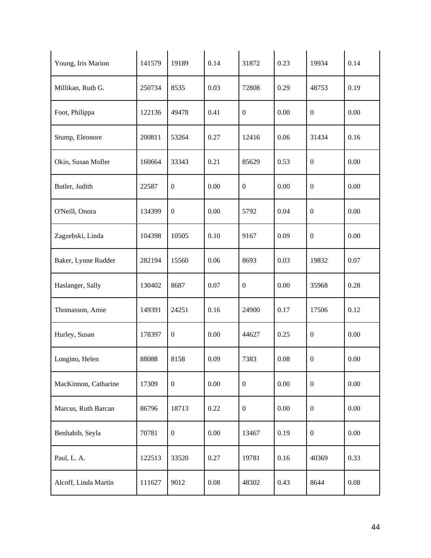| Young, Iris Marion   | 141579 | 19189            | 0.14     | 31872            | 0.23     | 19934            | 0.14 |
|----------------------|--------|------------------|----------|------------------|----------|------------------|------|
| Millikan, Ruth G.    | 250734 | 8535             | 0.03     | 72808            | 0.29     | 48753            | 0.19 |
| Foot, Philippa       | 122136 | 49478            | 0.41     | $\boldsymbol{0}$ | 0.00     | $\boldsymbol{0}$ | 0.00 |
| Stump, Eleonore      | 200811 | 53264            | 0.27     | 12416            | 0.06     | 31434            | 0.16 |
| Okin, Susan Moller   | 160664 | 33343            | 0.21     | 85629            | 0.53     | $\boldsymbol{0}$ | 0.00 |
| Butler, Judith       | 22587  | $\boldsymbol{0}$ | 0.00     | $\boldsymbol{0}$ | 0.00     | $\boldsymbol{0}$ | 0.00 |
| O'Neill, Onora       | 134399 | $\boldsymbol{0}$ | 0.00     | 5792             | 0.04     | $\boldsymbol{0}$ | 0.00 |
| Zagzebski, Linda     | 104398 | 10505            | 0.10     | 9167             | 0.09     | $\boldsymbol{0}$ | 0.00 |
| Baker, Lynne Rudder  | 282194 | 15560            | 0.06     | 8693             | 0.03     | 19832            | 0.07 |
| Haslanger, Sally     | 130402 | 8687             | 0.07     | $\overline{0}$   | 0.00     | 35968            | 0.28 |
| Thomasson, Amie      | 149391 | 24251            | 0.16     | 24900            | 0.17     | 17506            | 0.12 |
| Hurley, Susan        | 178397 | $\boldsymbol{0}$ | 0.00     | 44627            | 0.25     | $\boldsymbol{0}$ | 0.00 |
| Longino, Helen       | 88088  | 8158             | 0.09     | 7383             | 0.08     | $\boldsymbol{0}$ | 0.00 |
| MacKinnon, Catharine | 17309  | $\boldsymbol{0}$ | $0.00\,$ | $\overline{0}$   | $0.00\,$ | $\boldsymbol{0}$ | 0.00 |
| Marcus, Ruth Barcan  | 86796  | 18713            | 0.22     | $\overline{0}$   | 0.00     | $\boldsymbol{0}$ | 0.00 |
| Benhabib, Seyla      | 70781  | $\boldsymbol{0}$ | 0.00     | 13467            | 0.19     | $\boldsymbol{0}$ | 0.00 |
| Paul, L. A.          | 122513 | 33520            | 0.27     | 19781            | 0.16     | 40369            | 0.33 |
| Alcoff, Linda Martín | 111627 | 9012             | 0.08     | 48302            | 0.43     | 8644             | 0.08 |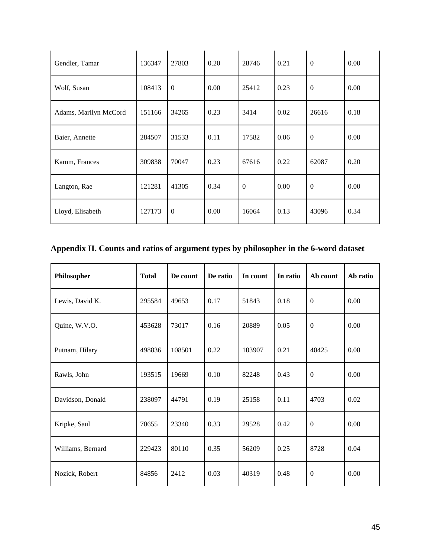| Gendler, Tamar        | 136347 | 27803        | 0.20 | 28746          | 0.21 | $\mathbf{0}$     | 0.00 |
|-----------------------|--------|--------------|------|----------------|------|------------------|------|
| Wolf, Susan           | 108413 | $\mathbf{0}$ | 0.00 | 25412          | 0.23 | $\mathbf{0}$     | 0.00 |
| Adams, Marilyn McCord | 151166 | 34265        | 0.23 | 3414           | 0.02 | 26616            | 0.18 |
| Baier, Annette        | 284507 | 31533        | 0.11 | 17582          | 0.06 | $\mathbf{0}$     | 0.00 |
| Kamm, Frances         | 309838 | 70047        | 0.23 | 67616          | 0.22 | 62087            | 0.20 |
| Langton, Rae          | 121281 | 41305        | 0.34 | $\overline{0}$ | 0.00 | $\boldsymbol{0}$ | 0.00 |
| Lloyd, Elisabeth      | 127173 | $\Omega$     | 0.00 | 16064          | 0.13 | 43096            | 0.34 |

# **Appendix II. Counts and ratios of argument types by philosopher in the 6-word dataset**

| Philosopher       | <b>Total</b> | De count | De ratio | In count | In ratio | Ab count         | Ab ratio |
|-------------------|--------------|----------|----------|----------|----------|------------------|----------|
| Lewis, David K.   | 295584       | 49653    | 0.17     | 51843    | 0.18     | $\boldsymbol{0}$ | 0.00     |
| Quine, W.V.O.     | 453628       | 73017    | 0.16     | 20889    | 0.05     | $\mathbf{0}$     | 0.00     |
| Putnam, Hilary    | 498836       | 108501   | 0.22     | 103907   | 0.21     | 40425            | 0.08     |
| Rawls, John       | 193515       | 19669    | 0.10     | 82248    | 0.43     | $\overline{0}$   | 0.00     |
| Davidson, Donald  | 238097       | 44791    | 0.19     | 25158    | 0.11     | 4703             | 0.02     |
| Kripke, Saul      | 70655        | 23340    | 0.33     | 29528    | 0.42     | $\mathbf{0}$     | 0.00     |
| Williams, Bernard | 229423       | 80110    | 0.35     | 56209    | 0.25     | 8728             | 0.04     |
| Nozick, Robert    | 84856        | 2412     | 0.03     | 40319    | 0.48     | $\boldsymbol{0}$ | 0.00     |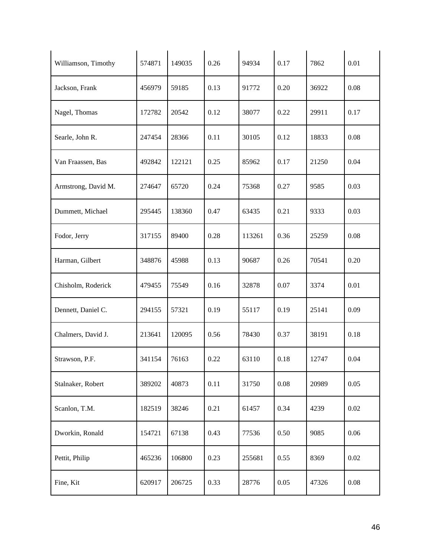| Williamson, Timothy | 574871 | 149035 | 0.26 | 94934  | 0.17     | 7862  | 0.01 |
|---------------------|--------|--------|------|--------|----------|-------|------|
| Jackson, Frank      | 456979 | 59185  | 0.13 | 91772  | 0.20     | 36922 | 0.08 |
| Nagel, Thomas       | 172782 | 20542  | 0.12 | 38077  | 0.22     | 29911 | 0.17 |
| Searle, John R.     | 247454 | 28366  | 0.11 | 30105  | 0.12     | 18833 | 0.08 |
| Van Fraassen, Bas   | 492842 | 122121 | 0.25 | 85962  | 0.17     | 21250 | 0.04 |
| Armstrong, David M. | 274647 | 65720  | 0.24 | 75368  | 0.27     | 9585  | 0.03 |
| Dummett, Michael    | 295445 | 138360 | 0.47 | 63435  | 0.21     | 9333  | 0.03 |
| Fodor, Jerry        | 317155 | 89400  | 0.28 | 113261 | 0.36     | 25259 | 0.08 |
| Harman, Gilbert     | 348876 | 45988  | 0.13 | 90687  | 0.26     | 70541 | 0.20 |
| Chisholm, Roderick  | 479455 | 75549  | 0.16 | 32878  | 0.07     | 3374  | 0.01 |
| Dennett, Daniel C.  | 294155 | 57321  | 0.19 | 55117  | 0.19     | 25141 | 0.09 |
| Chalmers, David J.  | 213641 | 120095 | 0.56 | 78430  | 0.37     | 38191 | 0.18 |
| Strawson, P.F.      | 341154 | 76163  | 0.22 | 63110  | 0.18     | 12747 | 0.04 |
| Stalnaker, Robert   | 389202 | 40873  | 0.11 | 31750  | $0.08\,$ | 20989 | 0.05 |
| Scanlon, T.M.       | 182519 | 38246  | 0.21 | 61457  | 0.34     | 4239  | 0.02 |
| Dworkin, Ronald     | 154721 | 67138  | 0.43 | 77536  | 0.50     | 9085  | 0.06 |
| Pettit, Philip      | 465236 | 106800 | 0.23 | 255681 | 0.55     | 8369  | 0.02 |
| Fine, Kit           | 620917 | 206725 | 0.33 | 28776  | 0.05     | 47326 | 0.08 |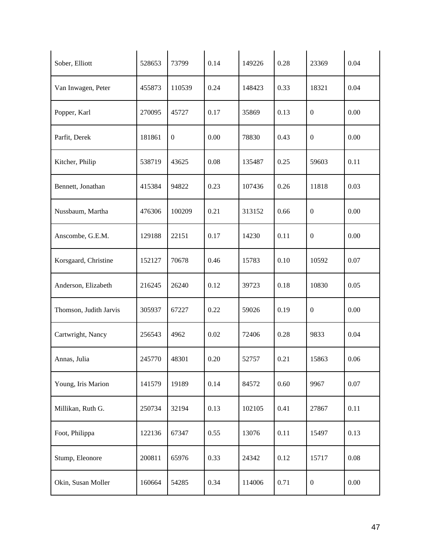| Sober, Elliott         | 528653 | 73799            | 0.14 | 149226 | 0.28 | 23369            | 0.04 |
|------------------------|--------|------------------|------|--------|------|------------------|------|
| Van Inwagen, Peter     | 455873 | 110539           | 0.24 | 148423 | 0.33 | 18321            | 0.04 |
| Popper, Karl           | 270095 | 45727            | 0.17 | 35869  | 0.13 | $\boldsymbol{0}$ | 0.00 |
| Parfit, Derek          | 181861 | $\boldsymbol{0}$ | 0.00 | 78830  | 0.43 | $\boldsymbol{0}$ | 0.00 |
| Kitcher, Philip        | 538719 | 43625            | 0.08 | 135487 | 0.25 | 59603            | 0.11 |
| Bennett, Jonathan      | 415384 | 94822            | 0.23 | 107436 | 0.26 | 11818            | 0.03 |
| Nussbaum, Martha       | 476306 | 100209           | 0.21 | 313152 | 0.66 | $\boldsymbol{0}$ | 0.00 |
| Anscombe, G.E.M.       | 129188 | 22151            | 0.17 | 14230  | 0.11 | $\boldsymbol{0}$ | 0.00 |
| Korsgaard, Christine   | 152127 | 70678            | 0.46 | 15783  | 0.10 | 10592            | 0.07 |
| Anderson, Elizabeth    | 216245 | 26240            | 0.12 | 39723  | 0.18 | 10830            | 0.05 |
| Thomson, Judith Jarvis | 305937 | 67227            | 0.22 | 59026  | 0.19 | $\boldsymbol{0}$ | 0.00 |
| Cartwright, Nancy      | 256543 | 4962             | 0.02 | 72406  | 0.28 | 9833             | 0.04 |
| Annas, Julia           | 245770 | 48301            | 0.20 | 52757  | 0.21 | 15863            | 0.06 |
| Young, Iris Marion     | 141579 | 19189            | 0.14 | 84572  | 0.60 | 9967             | 0.07 |
| Millikan, Ruth G.      | 250734 | 32194            | 0.13 | 102105 | 0.41 | 27867            | 0.11 |
| Foot, Philippa         | 122136 | 67347            | 0.55 | 13076  | 0.11 | 15497            | 0.13 |
| Stump, Eleonore        | 200811 | 65976            | 0.33 | 24342  | 0.12 | 15717            | 0.08 |
| Okin, Susan Moller     | 160664 | 54285            | 0.34 | 114006 | 0.71 | $\boldsymbol{0}$ | 0.00 |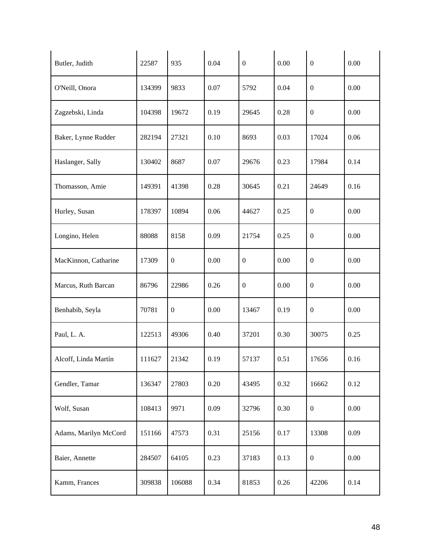| Butler, Judith        | 22587  | 935              | 0.04 | $\boldsymbol{0}$ | 0.00 | $\boldsymbol{0}$ | 0.00 |
|-----------------------|--------|------------------|------|------------------|------|------------------|------|
| O'Neill, Onora        | 134399 | 9833             | 0.07 | 5792             | 0.04 | $\boldsymbol{0}$ | 0.00 |
| Zagzebski, Linda      | 104398 | 19672            | 0.19 | 29645            | 0.28 | $\boldsymbol{0}$ | 0.00 |
| Baker, Lynne Rudder   | 282194 | 27321            | 0.10 | 8693             | 0.03 | 17024            | 0.06 |
| Haslanger, Sally      | 130402 | 8687             | 0.07 | 29676            | 0.23 | 17984            | 0.14 |
| Thomasson, Amie       | 149391 | 41398            | 0.28 | 30645            | 0.21 | 24649            | 0.16 |
| Hurley, Susan         | 178397 | 10894            | 0.06 | 44627            | 0.25 | $\boldsymbol{0}$ | 0.00 |
| Longino, Helen        | 88088  | 8158             | 0.09 | 21754            | 0.25 | $\boldsymbol{0}$ | 0.00 |
| MacKinnon, Catharine  | 17309  | $\boldsymbol{0}$ | 0.00 | $\boldsymbol{0}$ | 0.00 | $\boldsymbol{0}$ | 0.00 |
| Marcus, Ruth Barcan   | 86796  | 22986            | 0.26 | $\boldsymbol{0}$ | 0.00 | $\boldsymbol{0}$ | 0.00 |
| Benhabib, Seyla       | 70781  | $\overline{0}$   | 0.00 | 13467            | 0.19 | $\boldsymbol{0}$ | 0.00 |
| Paul, L. A.           | 122513 | 49306            | 0.40 | 37201            | 0.30 | 30075            | 0.25 |
| Alcoff, Linda Martín  | 111627 | 21342            | 0.19 | 57137            | 0.51 | 17656            | 0.16 |
| Gendler, Tamar        | 136347 | 27803            | 0.20 | 43495            | 0.32 | 16662            | 0.12 |
| Wolf, Susan           | 108413 | 9971             | 0.09 | 32796            | 0.30 | $\boldsymbol{0}$ | 0.00 |
| Adams, Marilyn McCord | 151166 | 47573            | 0.31 | 25156            | 0.17 | 13308            | 0.09 |
| Baier, Annette        | 284507 | 64105            | 0.23 | 37183            | 0.13 | $\boldsymbol{0}$ | 0.00 |
| Kamm, Frances         | 309838 | 106088           | 0.34 | 81853            | 0.26 | 42206            | 0.14 |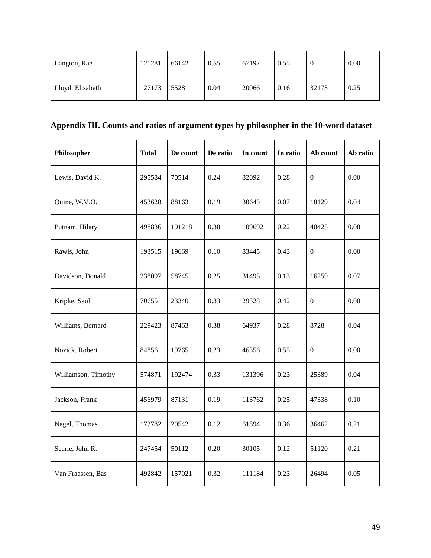| Langton, Rae     | 121281 | 66142 | 0.55 | 67192 | 0.55 | v     | 0.00 |
|------------------|--------|-------|------|-------|------|-------|------|
| Lloyd, Elisabeth | 127173 | 5528  | 0.04 | 20066 | 0.16 | 32173 | 0.25 |

# **Appendix III. Counts and ratios of argument types by philosopher in the 10-word dataset**

| Philosopher         | <b>Total</b> | De count | De ratio | In count | In ratio | Ab count         | Ab ratio |
|---------------------|--------------|----------|----------|----------|----------|------------------|----------|
| Lewis, David K.     | 295584       | 70514    | 0.24     | 82092    | 0.28     | $\overline{0}$   | 0.00     |
| Quine, W.V.O.       | 453628       | 88163    | 0.19     | 30645    | 0.07     | 18129            | 0.04     |
| Putnam, Hilary      | 498836       | 191218   | 0.38     | 109692   | 0.22     | 40425            | 0.08     |
| Rawls, John         | 193515       | 19669    | 0.10     | 83445    | 0.43     | $\boldsymbol{0}$ | 0.00     |
| Davidson, Donald    | 238097       | 58745    | 0.25     | 31495    | 0.13     | 16259            | 0.07     |
| Kripke, Saul        | 70655        | 23340    | 0.33     | 29528    | 0.42     | $\boldsymbol{0}$ | 0.00     |
| Williams, Bernard   | 229423       | 87463    | 0.38     | 64937    | 0.28     | 8728             | 0.04     |
| Nozick, Robert      | 84856        | 19765    | 0.23     | 46356    | 0.55     | $\boldsymbol{0}$ | 0.00     |
| Williamson, Timothy | 574871       | 192474   | 0.33     | 131396   | 0.23     | 25389            | 0.04     |
| Jackson, Frank      | 456979       | 87131    | 0.19     | 113762   | 0.25     | 47338            | 0.10     |
| Nagel, Thomas       | 172782       | 20542    | 0.12     | 61894    | 0.36     | 36462            | 0.21     |
| Searle, John R.     | 247454       | 50112    | 0.20     | 30105    | 0.12     | 51120            | 0.21     |
| Van Fraassen, Bas   | 492842       | 157021   | 0.32     | 111184   | 0.23     | 26494            | 0.05     |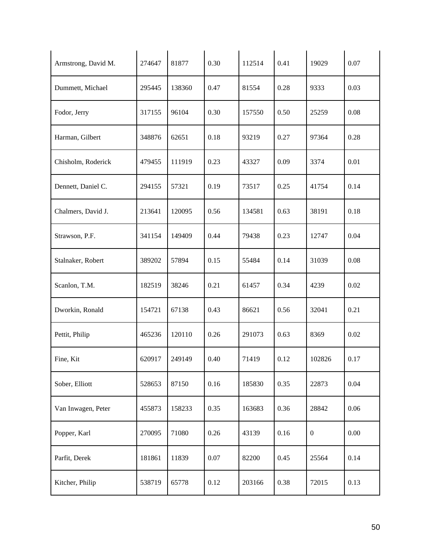| Armstrong, David M. | 274647 | 81877  | 0.30 | 112514 | 0.41 | 19029          | 0.07 |
|---------------------|--------|--------|------|--------|------|----------------|------|
| Dummett, Michael    | 295445 | 138360 | 0.47 | 81554  | 0.28 | 9333           | 0.03 |
| Fodor, Jerry        | 317155 | 96104  | 0.30 | 157550 | 0.50 | 25259          | 0.08 |
| Harman, Gilbert     | 348876 | 62651  | 0.18 | 93219  | 0.27 | 97364          | 0.28 |
| Chisholm, Roderick  | 479455 | 111919 | 0.23 | 43327  | 0.09 | 3374           | 0.01 |
| Dennett, Daniel C.  | 294155 | 57321  | 0.19 | 73517  | 0.25 | 41754          | 0.14 |
| Chalmers, David J.  | 213641 | 120095 | 0.56 | 134581 | 0.63 | 38191          | 0.18 |
| Strawson, P.F.      | 341154 | 149409 | 0.44 | 79438  | 0.23 | 12747          | 0.04 |
| Stalnaker, Robert   | 389202 | 57894  | 0.15 | 55484  | 0.14 | 31039          | 0.08 |
| Scanlon, T.M.       | 182519 | 38246  | 0.21 | 61457  | 0.34 | 4239           | 0.02 |
| Dworkin, Ronald     | 154721 | 67138  | 0.43 | 86621  | 0.56 | 32041          | 0.21 |
| Pettit, Philip      | 465236 | 120110 | 0.26 | 291073 | 0.63 | 8369           | 0.02 |
| Fine, Kit           | 620917 | 249149 | 0.40 | 71419  | 0.12 | 102826         | 0.17 |
| Sober, Elliott      | 528653 | 87150  | 0.16 | 185830 | 0.35 | 22873          | 0.04 |
| Van Inwagen, Peter  | 455873 | 158233 | 0.35 | 163683 | 0.36 | 28842          | 0.06 |
| Popper, Karl        | 270095 | 71080  | 0.26 | 43139  | 0.16 | $\overline{0}$ | 0.00 |
| Parfit, Derek       | 181861 | 11839  | 0.07 | 82200  | 0.45 | 25564          | 0.14 |
| Kitcher, Philip     | 538719 | 65778  | 0.12 | 203166 | 0.38 | 72015          | 0.13 |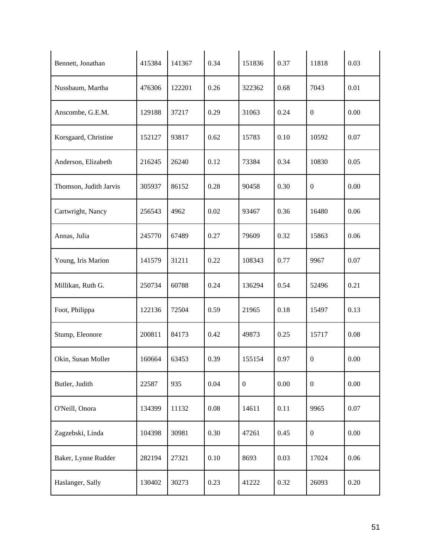| Bennett, Jonathan      | 415384 | 141367 | 0.34 | 151836           | 0.37     | 11818            | 0.03 |
|------------------------|--------|--------|------|------------------|----------|------------------|------|
| Nussbaum, Martha       | 476306 | 122201 | 0.26 | 322362           | 0.68     | 7043             | 0.01 |
| Anscombe, G.E.M.       | 129188 | 37217  | 0.29 | 31063            | 0.24     | $\boldsymbol{0}$ | 0.00 |
| Korsgaard, Christine   | 152127 | 93817  | 0.62 | 15783            | 0.10     | 10592            | 0.07 |
| Anderson, Elizabeth    | 216245 | 26240  | 0.12 | 73384            | 0.34     | 10830            | 0.05 |
| Thomson, Judith Jarvis | 305937 | 86152  | 0.28 | 90458            | 0.30     | $\boldsymbol{0}$ | 0.00 |
| Cartwright, Nancy      | 256543 | 4962   | 0.02 | 93467            | 0.36     | 16480            | 0.06 |
| Annas, Julia           | 245770 | 67489  | 0.27 | 79609            | 0.32     | 15863            | 0.06 |
| Young, Iris Marion     | 141579 | 31211  | 0.22 | 108343           | 0.77     | 9967             | 0.07 |
| Millikan, Ruth G.      | 250734 | 60788  | 0.24 | 136294           | 0.54     | 52496            | 0.21 |
| Foot, Philippa         | 122136 | 72504  | 0.59 | 21965            | 0.18     | 15497            | 0.13 |
| Stump, Eleonore        | 200811 | 84173  | 0.42 | 49873            | 0.25     | 15717            | 0.08 |
| Okin, Susan Moller     | 160664 | 63453  | 0.39 | 155154           | 0.97     | $\boldsymbol{0}$ | 0.00 |
| Butler, Judith         | 22587  | 935    | 0.04 | $\boldsymbol{0}$ | $0.00\,$ | $\boldsymbol{0}$ | 0.00 |
| O'Neill, Onora         | 134399 | 11132  | 0.08 | 14611            | 0.11     | 9965             | 0.07 |
| Zagzebski, Linda       | 104398 | 30981  | 0.30 | 47261            | 0.45     | $\boldsymbol{0}$ | 0.00 |
| Baker, Lynne Rudder    | 282194 | 27321  | 0.10 | 8693             | 0.03     | 17024            | 0.06 |
| Haslanger, Sally       | 130402 | 30273  | 0.23 | 41222            | 0.32     | 26093            | 0.20 |